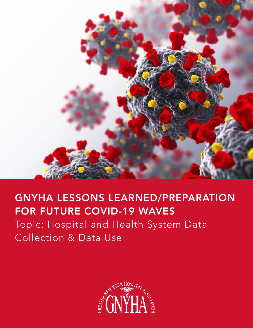

# GNYHA LESSONS LEARNED/PREPARATION FOR FUTURE COVID-19 WAVES

Topic: Hospital and Health System Data Collection & Data Use

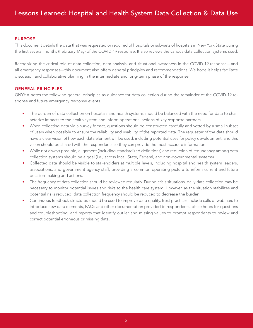#### PURPOSE

This document details the data that was requested or required of hospitals or sub-sets of hospitals in New York State during the first several months (February-May) of the COVID-19 response. It also reviews the various data collection systems used.

Recognizing the critical role of data collection, data analysis, and situational awareness in the COVID-19 response—and all emergency responses—this document also offers general principles and recommendations. We hope it helps facilitate discussion and collaborative planning in the intermediate and long-term phase of the response.

#### GENERAL PRINCIPLES

GNYHA notes the following general principles as guidance for data collection during the remainder of the COVID-19 response and future emergency response events.

- The burden of data collection on hospitals and health systems should be balanced with the need for data to characterize impacts to the health system and inform operational actions of key response partners.
- When collecting data via a survey format, questions should be constructed carefully and vetted by a small subset of users when possible to ensure the reliability and usability of the reported data. The requester of the data should have a clear vision of how each data element will be used, including potential uses for policy development, and this vision should be shared with the respondents so they can provide the most accurate information.
- While not always possible, alignment (including standardized definitions) and reduction of redundancy among data collection systems should be a goal (i.e., across local, State, Federal, and non-governmental systems).
- Collected data should be visible to stakeholders at multiple levels, including hospital and health system leaders, associations, and government agency staff, providing a common operating picture to inform current and future decision-making and actions.
- The frequency of data collection should be reviewed regularly. During crisis situations, daily data collection may be necessary to monitor potential issues and risks to the health care system. However, as the situation stabilizes and potential risks reduced, data collection frequency should be reduced to decrease the burden.
- Continuous feedback structures should be used to improve data quality. Best practices include calls or webinars to introduce new data elements, FAQs and other documentation provided to respondents, office hours for questions and troubleshooting, and reports that identify outlier and missing values to prompt respondents to review and correct potential erroneous or missing data.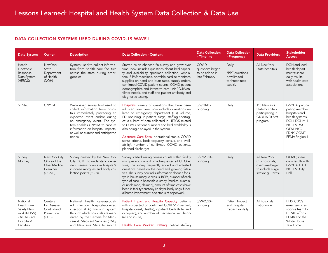#### DATA COLLECTION SYSTEMS USED DURING COVID-19 WAVE I

| <b>Data System</b>                                                                                | Owner                                                                        | <b>Description</b>                                                                                                                                                                                                                                                                    | <b>Data Collection - Content</b>                                                                                                                                                                                                                                                                                                                                                                                                                                                                                                                       | <b>Data Collection</b><br>- Timeline                               | <b>Data Collection</b><br>- Frequency                              | <b>Data Providers</b>                                                                          | <b>Stakeholder</b><br><b>Access</b>                                                                                                           |
|---------------------------------------------------------------------------------------------------|------------------------------------------------------------------------------|---------------------------------------------------------------------------------------------------------------------------------------------------------------------------------------------------------------------------------------------------------------------------------------|--------------------------------------------------------------------------------------------------------------------------------------------------------------------------------------------------------------------------------------------------------------------------------------------------------------------------------------------------------------------------------------------------------------------------------------------------------------------------------------------------------------------------------------------------------|--------------------------------------------------------------------|--------------------------------------------------------------------|------------------------------------------------------------------------------------------------|-----------------------------------------------------------------------------------------------------------------------------------------------|
| Health<br>Electronic<br>Response<br>Data System<br>(HERDS)                                        | New York<br>State<br>Department<br>of Health<br>(DOH)                        | System used to collect informa-<br>tion from health care facilities<br>across the state during emer-<br>gencies.                                                                                                                                                                      | Started as an ehanced flu survey and grew over<br>time; now includes questions about bed capaci-<br>ty and availability, specimen collection, ventila-<br>tors, BiPAP machines, portable cardiac monitors,<br>supplies on hand and burn rates, supply orders,<br>confirmed COVID patient counts, COVID patient<br>demographics and intensive care unit (ICU)/ven-<br>tilator needs, and staff and patient antibody and<br>diagnostic testing.                                                                                                          | <b>COVID</b><br>questions began<br>to be added in<br>late February | Daily<br>*PPE questions<br>now limited<br>to three times<br>weekly | All New York<br>State hospitals                                                                | DOH and local<br>health depart-<br>ments; share<br>daily results<br>with health care<br>associations                                          |
| Sit Stat                                                                                          | <b>GNYHA</b>                                                                 | Web-based survey tool used to<br>collect information from hospi-<br>tals immediately preceding an<br>expected event and/or during<br>an emergency event. The sys-<br>tem enables GNYHA to capture<br>information on hospital impacts,<br>as well as current and anticipated<br>needs. | Hospitals: variety of questions that have been<br>adjusted over time; now includes questions re-<br>lated to emergency department (ED) volume,<br>ED boarding, in-patient surge, staffing shortag-<br>es; a subset of data collected in HERDS related<br>to COVID patient numbers and bed availability is<br>also being displayed in the system<br>Alternate Care Sites: operational status, COVID<br>status criteria, beds (capacity, census, and avail-<br>ability), number of confirmed COVID patients,<br>planned discharges                       | $3/9/2020 -$<br>ongoing                                            | Daily                                                              | 115 New York<br>State hospitals<br>participating in<br><b>GNYHA Sit Stat</b><br>program        | GNYHA, partici-<br>pating member<br>hospitals and<br>health systems,<br>DOH, DOHMH,<br>NYCEM, WC<br>OEM, NYC<br>FDNY, OCME,<br>FEMA Region II |
| Survey<br>Monkey                                                                                  | New York City<br>Office of the<br><b>Chief Medical</b><br>Examiner<br>(OCME) | Survey created by the New York<br>City OCME to understand dece-<br>dent census counts in hospital's<br>in-house morgues and body col-<br>lection points (BCPs).                                                                                                                       | Survey started asking census counts within facility<br>morgues and if a facility had requested a BCP. Over<br>time, the survey frequently added and adjusted<br>questions based on the need and growing fatali-<br>ties. The survey now asks information about a facili-<br>ty's in-house morgue census, BCPs, number of each<br>type of case in hospital's custody (medical examin-<br>er, unclaimed, claimed), amount of time cases have<br>been in facility's custody (in days), body bags, funer-<br>al home involvement, and status of paperwork. | $3/27/2020 -$<br>ongoing                                           | Daily                                                              | All New York<br>City hospitals;<br>over time began<br>to include surge<br>sites (e.g., Javits) | OCME: share<br>daily results with<br>GNYHA, H+H,<br>NYCEM, City<br>Hall                                                                       |
| National<br>Health care<br>Safety Net-<br>work (NHSN)<br>- Acute Care<br>Hospitals/<br>Facilities | Centers<br>for Disease<br>Control and<br>Prevention<br>(CDC)                 | National health care-associat-<br>ed infection hospital-acquired<br>infection (HAI) tracking system<br>through which hospitals are man-<br>dated by the Centers for Medi-<br>care & Medicaid Services (CMS)<br>and New York State to submit                                           | Patient Impact and Hospital Capacity: patients<br>with suspected or confirmed COVID-19 (vented,<br>hospital onset, deaths), inpatient beds (total and<br>occupied), and number of mechanical ventilators<br>(all and in-use).<br>Health Care Worker Staffing: critical staffing                                                                                                                                                                                                                                                                        | $3/29/2020 -$<br>ongoing                                           | Patient Impact<br>and Hospital<br>Capacity - daily                 | All hospitals<br>nationwide                                                                    | HHS, CDC's<br>emergency re-<br>sponse team for<br>COVID efforts.<br>FEMA and the<br>White House<br>Task Force;                                |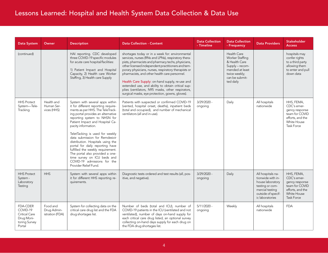| <b>Data System</b>                                                                    | Owner                                      | <b>Description</b>                                                                                                                                                                                                                                                                                                                                                                                                                                                                                                                                     | <b>Data Collection - Content</b>                                                                                                                                                                                                                                                                                                                                                                                                                                                                                                          | <b>Data Collection</b><br>- Timeline | <b>Data Collection</b><br>- Frequency                                                                                                 | <b>Data Providers</b>                                                                                                                     | <b>Stakeholder</b><br><b>Access</b>                                                                                   |
|---------------------------------------------------------------------------------------|--------------------------------------------|--------------------------------------------------------------------------------------------------------------------------------------------------------------------------------------------------------------------------------------------------------------------------------------------------------------------------------------------------------------------------------------------------------------------------------------------------------------------------------------------------------------------------------------------------------|-------------------------------------------------------------------------------------------------------------------------------------------------------------------------------------------------------------------------------------------------------------------------------------------------------------------------------------------------------------------------------------------------------------------------------------------------------------------------------------------------------------------------------------------|--------------------------------------|---------------------------------------------------------------------------------------------------------------------------------------|-------------------------------------------------------------------------------------------------------------------------------------------|-----------------------------------------------------------------------------------------------------------------------|
| (continued)                                                                           |                                            | HAI reporting. CDC developed<br>three COVID-19 specific modules<br>for acute care hospital/facilities:<br>1) Patient Impact and Hospital<br>Capacity, 2) Health care Worker<br>Staffing, 3) Health care Supply                                                                                                                                                                                                                                                                                                                                         | shortages today or in a week for: environmental<br>services, nurses (RNs and LPNs), respiratory thera-<br>pists, pharmacists and pharmacy techs, physicians,<br>other licensed independent practitioners and tem-<br>porary physicians, nurses, respiratory therapists or<br>pharmacists, and other health care personnel.<br>Health Care Supply: on-hand supply, re-use and<br>extended use, and ability to obtain critical sup-<br>plies (ventilators, N95 masks, other respirators,<br>surgical masks, eye protection, gowns, gloves). |                                      | Health Care<br>Worker Staffing<br>& Health Care<br>Supply - recom-<br>mended at least<br>twice weekly;<br>can be submit-<br>ted daily |                                                                                                                                           | hospitals may<br>confer rights<br>to a third party<br>allowing them<br>to enter and pull<br>down data                 |
| <b>HHS Protect</b><br>System-Tele-<br>Tracking                                        | Health and<br>Human Ser-<br>vices (HHS)    | System with several apps within<br>it for different reporting require-<br>ments as per HHS. The TeleTrack-<br>ing portal provides an alternative<br>reporting system to NHSN for<br>Patient Impact and Hospital Ca-<br>pacity information.<br>TeletTacking is used for weekly<br>data submission for Remdesivir<br>distribution. Hospitals using the<br>portal for daily reporting have<br>fulfilled the weekly requirement.<br>The portal also provided a one-<br>time survey on ICU beds and<br>COVID-19 admissions for the<br>Provider Relief Fund. | Patients with suspected or confirmed COVID-19<br>(vented, hospital onset, deaths), inpatient beds<br>(total and occupied), and number of mechanical<br>ventilators (all and in-use).                                                                                                                                                                                                                                                                                                                                                      | $3/29/2020 -$<br>ongoing             | Daily                                                                                                                                 | All hospitals<br>nationwide                                                                                                               | HHS, FEMA,<br>CDC's emer-<br>gency response<br>team for COVID<br>efforts, and the<br>White House<br>Task Force        |
| <b>HHS Protect</b><br>System -<br>Laboratory<br>Testing                               | <b>HHS</b>                                 | System with several apps within<br>it for different HHS reporting re-<br>quirements.                                                                                                                                                                                                                                                                                                                                                                                                                                                                   | Diagnostic tests ordered and test results (all, pos-<br>itive, and negative).                                                                                                                                                                                                                                                                                                                                                                                                                                                             | $3/29/2020 -$<br>ongoing             | Daily                                                                                                                                 | All hospitals na-<br>tionwide with in-<br>house laboratory<br>testing or com-<br>mercial testing<br>outside of specif-<br>ic laboratories | HHS, FEMA,<br>CDC's emer-<br>gency response<br>team for COVID<br>efforts, and the<br>White House<br><b>Task Force</b> |
| FDA-CDER<br>COVID-19<br><b>Critical Care</b><br>Drug Moni-<br>toring Survey<br>Portal | Food and<br>Drug Admin-<br>istration (FDA) | System for collecting data on the<br>critical care drug list and the FDA<br>drug shortages list.                                                                                                                                                                                                                                                                                                                                                                                                                                                       | Number of beds (total and ICU), number of<br>COVID-19 patients in the ICU (ventilated and not<br>ventilated), number of days on-hand supply for<br>each critical care drug listed, an optional survey<br>collecting on-hand days supply for each drug on<br>the FDA drug shortages list.                                                                                                                                                                                                                                                  | $5/11/2020 -$<br>ongoing             | Weekly                                                                                                                                | All hospitals<br>nationwide                                                                                                               | <b>FDA</b>                                                                                                            |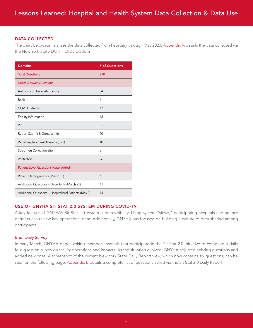#### DATA COLLECTED

The chart below summarizes the data collected from February through May 2020. [Appendix A](#page-11-0) details the data collected via the New York State DOH HERDS platform.

| <b>Domains</b>                                       | # of Questions |
|------------------------------------------------------|----------------|
| <b>Total Questions</b>                               | 270            |
| <b>Direct Answer Questions</b>                       |                |
| Antibody & Diagnostic Testing                        | 34             |
| <b>Beds</b>                                          | 6              |
| <b>COVID Patients</b>                                | 17             |
| Facility Information                                 | 13             |
| PPE                                                  | 85             |
| Report Submit & Contact Info                         | 10             |
| Renal Replacement Therapy (RRT)                      | 40             |
| Specimen Collection Site                             | 8              |
| Ventilators                                          | 26             |
| Patient-Level Questions (date added)                 |                |
| Patient Demographics (March 15)                      | 6              |
| Additional Questions - Decedents (March 25)          | 11             |
| Additional Questions - Hospitalized Patients (May 3) | 14             |

#### USE OF GNYHA SIT STAT 2.0 SYSTEM DURING COVID-19

A key feature of GNYHA's Sit Stat 2.0 system is data visibility. Using system "views," participating hospitals and agency partners can review key operational data. Additionally, GNYHA has focused on building a culture of data sharing among participants.

#### Brief Daily Survey

In early March, GNYHA began asking member hospitals that participate in the Sit Stat 2.0 initiative to complete a daily four-question survey on facility operations and impacts. As the situation evolved, GNYHA adjusted existing questions and added new ones. A screenshot of the current New York State Daily Report view, which now contains six questions, can be seen on the following page. [Appendix B](#page-33-0) details a complete list of questions asked via the Sit Stat 2.0 Daily Report.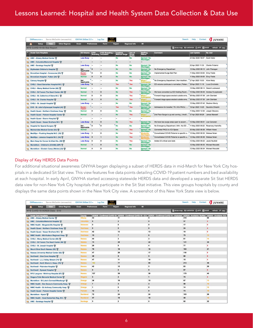| <b>EMResource -</b><br>Samia McEachin (smceachin) | GNYHA SitStat 2.0 -      |                          | TLP:<br>Log Out            |                                   |                                 |                                   | Search                                      | Help<br>Contact                    | <b>U</b> JUVARE                                            |
|---------------------------------------------------|--------------------------|--------------------------|----------------------------|-----------------------------------|---------------------------------|-----------------------------------|---------------------------------------------|------------------------------------|------------------------------------------------------------|
| <b>Setup</b><br>View<br><b>Other Regions</b><br>ሐ | Event                    | <b>Preferences</b>       | Form                       | <b>Report</b>                     | <b>Regional Info</b>            | <b>IM</b>                         |                                             |                                    |                                                            |
| <b>NYS CoVID-19 Sit Stat Report</b>               |                          |                          |                            |                                   |                                 |                                   |                                             |                                    | is show map * customize G print El excel g refresh of help |
| <b>Acute Care Hospitals</b>                       | <b>ED Volume</b>         | <b>IED</b><br>Boarding   | # ED Boarding -            | <b>Inpatient</b><br>Medical Surge | Use of<br>Surge<br>Space        | Staffing<br>Status                | Comment                                     | <b>Last Update</b>                 | By User                                                    |
| AMC - Albany Medical Center 奇                     | <b>Less Busy</b>         | $\overline{ }$           | $\overline{a}$             | No                                | No                              | Normal / No<br><b>Shortages</b>   |                                             | 24 Mar 2020 16:57 Scott Heller     |                                                            |
| AMC - Columbia Memorial Hospital                  |                          | $\sim$                   |                            | $\overline{\phantom{a}}$          | $\sim$                          |                                   |                                             |                                    |                                                            |
| AMC - Saratoga Hospital                           | <b>Less Busy</b>         |                          | -                          | No                                | No                              | Normal / No<br><b>Shortages</b>   |                                             | 02 Apr 2020 11:35                  | Charlie Friderici                                          |
| Blythedale Children's Hospital                    | <b>Not</b><br>Applicable | $\Omega$                 |                            | No                                | No                              | Normal / No                       | No Emergency Department                     | 12 May 2020 08:10 John Flanagan    |                                                            |
| BronxCare Hospital - Concourse (23)               | Busier -                 | $\circ$                  | $\alpha$                   | No                                | No                              | Shortages<br>Normal / No          | Implemented Surge Bed Plan                  | 11 May 2020 09:59 Elroy Fields     |                                                            |
| BronxCare Hospital - Fulton (24)                  | Impact<br>Normal         | o                        | $\Omega$                   | No                                | No                              | <b>Shortages</b><br>Normal / No   |                                             | 11 May 2020 09:59 Elroy Fields     |                                                            |
| Calvary Hospital                                  | Not                      |                          | $\overline{\phantom{a}}$   | No                                | Yes                             | <b>Shortages</b><br>Minor /       | No Emergency Department   Non-tradition.    | 27 Apr 2020 15:30                  | Kiran Mody                                                 |
| CHSLI - Good Samaritan Hospital M.C.              | Applicable<br>Less Busy  | ٦o                       | $\overline{\phantom{a}}$   | Yes                               | Yes                             | <b>Anticipated</b><br>Normal / No | ED volume continues to normalize   Patien.  | 29 Apr 2020 11:18                  | Louis Errichiello                                          |
| CHSLI - Mercy Medical Center (68) 窗               | Normal                   | $\overline{\phantom{a}}$ | $\overline{\phantom{a}}$   | No                                | No                              | <b>Shortages</b><br>Normal / No   |                                             | 12 May 2020 08:14 Gerard Lockwood  |                                                            |
| CHSLI - St Francis The Heart Center (66)          | Normal                   | 1                        | $\bf o$                    | <b>No</b>                         | Yes                             | <b>Shortages</b><br>Normal / No   | We have converted our ED Holding Room.      |                                    | 10 May 2020 08:49 Andrew Kruzykowski                       |
| CHSLI - St. Catherine of Siena M.C. @             | Normal                   | $\mathbf{0}$             | $\bullet$                  | No                                | Yes                             | <b>Shortages</b><br>Minor /       | Forward triage space erected outside eme    | 08 May 2020 07:39 John Dembek      |                                                            |
| CHSLI - St. Charles Hospital                      | Normal                   | $\theta$                 | $\bf o$                    | No                                | Yes                             | <b>Anticipated</b><br>Minor /     | Forward triage space erected outside eme    | 08 May 2020 07:39 John Dembek      |                                                            |
| CHSLI - St. Joseph Hospital                       | <b>Less Busy</b>         | $\blacksquare$           | $\overline{\phantom{a}}$   | No                                | No                              | Normal / No                       |                                             | 12 May 2020 07:42 Stephen Monty    |                                                            |
| EHS - St. John's Episcopal Hospital (40)          | Busier-                  | ÷                        | $\overline{\phantom{a}}$   | Yes                               | <b>Yes</b>                      | <b>Shortages</b><br>Normal / No   | Admissions for transfer   T5   ICU PACU,    | 16 Apr 2020 14:25                  | Saundra Chisolm                                            |
| Health Quest - Northern Dutchess Hosp.            | Impact<br>Normal         | $\theta$                 | $\ddot{\mathbf{0}}$        | No                                | No                              | <b>Shortages</b><br>Normal / No   |                                             | 11 May 2020 12:38 Joseph Stevens   |                                                            |
|                                                   | Normal                   |                          |                            | No                                | Yes                             | <b>Shortages</b><br>Minor /       | 2nd Floor Surge is up and running.   Ancill | 07 Apr 2020 08:26 James Maxwell    |                                                            |
| Health Quest - Putnam Hospital Center W           |                          | $\overline{\phantom{a}}$ | $\overline{\phantom{a}}$   |                                   |                                 | Antici                            |                                             |                                    |                                                            |
| Health Quest - Sharon Hospital                    |                          | <br>0                    | $\blacksquare$<br>$\theta$ | $\overline{\phantom{a}}$<br>No    | $\overline{\phantom{a}}$<br>Yes | $\blacksquare$<br>Normal / No     |                                             |                                    |                                                            |
| Health Quest - Vassar Brothers M.C.               | <b>Less Busy</b>         |                          |                            |                                   |                                 | Shortages                         | We have two surge areas open to accom       | 12 May 2020 08:51 Lisa Corcoran    |                                                            |
| Hospital for Special Surgery                      | <b>Not</b><br>Applicable | ۱o                       | $\bullet$                  | No                                | No                              | Normal / No<br><b>Shortages</b>   | No Emergency Department   N/A - No ED       |                                    | 11 May 2020 08:22 Rosemary Hartofilis                      |
| Maimonides Medical Center (53)                    | Normal                   | $\overline{\phantom{a}}$ | $\overline{a}$             | No                                | Yes                             | Normal / No<br><b>Shortages</b>   | Converted PACU to ICU Space                 | 05 May 2020 08:38 William Howe     |                                                            |
| MediSys - Flushing Hospital M.C. (33)             | <b>Less Busy</b>         | -1                       | $\bullet$                  | No                                | Yes                             | Moderate                          | Consolidated COVID Patients to specific u   | 12 May 2020 08:32 Melissa Nolan    |                                                            |
| MediSys - Jamaica Hospital M.C. (34)              | <b>Less Busy 5</b>       |                          | $\mathbf{1}$               | No                                | Yes                             | Moderate                          | Consolidated COVID Patients to specific u   | 12 May 2020 08:36 Melissa Nolan    |                                                            |
| Mem Hosp for Cancer & Allied Dis. (08)            | <b>Less Busy</b>         | $\overline{\phantom{0}}$ | ۰                          | No                                | Yes                             | Normal / No<br>Shortages          | Added 23 critical care beds                 | 12 May 2020 08:22 Jacob Neufeld    |                                                            |
| Monteflore - Children's (CHAM) (29P)              | Normal                   | 1                        | $\Omega$                   | No                                | No                              | Normal / No<br><b>Shortages</b>   |                                             | 12 May 2020 08:33 Michael Moculski |                                                            |
| Montefiore - Einstein Camp (Weiler) (22)          | Normal                   | A                        | $\bullet$                  | No                                | No                              | Normal / No<br>Shortages          |                                             | 12 May 2020 08:34 Michael Moculski |                                                            |

#### Display of Key HERDS Data Points

For additional situational awareness GNYHA began displaying a subset of HERDS data in mid-March for New York City hospitals in a dedicated Sit Stat view. This view features five data points detailing COVID-19 patient numbers and bed availability at each hospital. In early April, GNYHA started accessing statewide HERDS data and developed a separate Sit Stat HERDS data view for non-New York City hospitals that participate in the Sit Stat initiative. This view groups hospitals by county and displays the same data points shown in the New York City view. A screenshot of this New York State view is below.

| Samia McEachin (smceachin)<br>$EMFesource -$ | GNYHA SitStat 2.0 - | Log Out                    | TLP:<br>MMBER                         |                                                                                                                                                              | Help<br>Search | <b>U</b> JUVARE<br>Contact                              |
|----------------------------------------------|---------------------|----------------------------|---------------------------------------|--------------------------------------------------------------------------------------------------------------------------------------------------------------|----------------|---------------------------------------------------------|
| <b>Setup</b><br><b>Other Regions</b><br>View | Event               | <b>Preferences</b><br>Form | <b>Regional Info</b><br><b>Report</b> | IM                                                                                                                                                           |                |                                                         |
| NYS CoVID-19 HERDS Data - 5/10               |                     |                            |                                       |                                                                                                                                                              |                | show map * customize G print El excel g refresh fr help |
| Acute Care Hospitals                         | County              |                            |                                       | HERDS - Confirmed CoVID-19   HERDS - Confirmed CoVID-19 - ICU   HERDS - Confirmed CoVID-19 - Intubated   HERDS - Available: Staffed   HERDS - Available: ICU |                |                                                         |
| AMC - Albany Medical Center マ                | Albany              | 44                         | 11                                    |                                                                                                                                                              | 316            |                                                         |
| AMC - Columbia Memorial Hospital             | Columbia            | ß                          | $\overline{2}$                        |                                                                                                                                                              | 57             |                                                         |
| WMC Health - Margaretville Hospital 奇        | <b>Delaware</b>     | n                          |                                       |                                                                                                                                                              | 17             |                                                         |
| Health Quest - Northern Dutchess Hosp.       | <b>Dutchess</b>     | $\mathbf{0}$               | $\Omega$                              |                                                                                                                                                              | 24             |                                                         |
| Health Quest - Vassar Brothers M.C. @        | <b>Dutchess</b>     | 42                         | 13                                    | 13                                                                                                                                                           | 19             |                                                         |
| WMC Health - Mid-Hudson Regional Hosp.       | <b>Dutchess</b>     | 15                         | $\overline{7}$                        |                                                                                                                                                              | 75             | 12                                                      |
| CHSLI - Mercy Medical Center (68)            | <b>Nassau</b>       | 44                         | $\overline{\mathbf{3}}$               | $\mathbf{a}$                                                                                                                                                 | 61             | 14                                                      |
| CHSLI - St Francis The Heart Center (66)     | <b>Nassau</b>       | 74                         | 29                                    | 22                                                                                                                                                           | 131            | 35                                                      |
| CHSLI - St. Joseph Hospital W                | Nassau              | 20                         | $\overline{9}$                        |                                                                                                                                                              | 77             | 5                                                       |
| Mount Sinai South Nassau (52)                | <b>Nassau</b>       | 79                         | 18                                    | 16                                                                                                                                                           | 163            | 21                                                      |
| Nassau University Medical Center (82) 奇      | <b>Nassau</b>       | 47                         | 26                                    | 17                                                                                                                                                           | 118            |                                                         |
| Northwell - Glen Cove Hospital               | <b>Nassau</b>       | 49                         | 8                                     | 5                                                                                                                                                            | 60             |                                                         |
| Northwell - L.I.J. Valley Stream (74)        | <b>Nassau</b>       | 47                         | 11                                    | 10                                                                                                                                                           | 15             |                                                         |
| Northwell - North Shore U. Hosp. (78)        | Nassau              | 182                        | 77                                    | 65                                                                                                                                                           | 213            | 36                                                      |
| Northwell - Plainview Hospital 奇             | Nassau              | 42                         | 12                                    | 5                                                                                                                                                            | 83             | 26                                                      |
| Northwell - Syosset Hospital マ               | Nassau              | $\mathbf{0}$               | $\bf{0}$                              | $\Omega$                                                                                                                                                     | 67             | R                                                       |
| NYU Langone - Winthrop Hospital (67) <a></a> | <b>Nassau</b>       | 137                        | 58                                    | 50                                                                                                                                                           | 179            | 40                                                      |
| Niagara Falls Memorial Medical Center        | Ningara             | s                          | $\bf{2}$                              |                                                                                                                                                              | 75             | $\boldsymbol{A}$                                        |
| Montefiore - St Luke's Cornwall/Newburgh     | Orange              | 38                         | 18                                    | 15                                                                                                                                                           | 67             | 13                                                      |
| WMC Health - Bon Secours Community Hosp.     | Orange              | $\overline{7}$             | 3                                     | $\overline{\mathbf{3}}$                                                                                                                                      | 58             | 16                                                      |
| WMC Health - St. Anthony Community Hosp.     | Orange              | 1                          | $\Omega$                              |                                                                                                                                                              | 14             | 10                                                      |
| Health Quest - Putnam Hospital Center        | Putnam              | 12                         | $\bf{0}$                              | $\bf{0}$                                                                                                                                                     | 73             | 19                                                      |
| Montefiore - Nyack                           | Rockland            | 72                         | 24                                    | 24                                                                                                                                                           | 103            | 26                                                      |
| WMC Health - Good Samaritan Reg. M.C. W      | Rockland            | 47                         | 15                                    | 10                                                                                                                                                           | 48             | 15                                                      |
| AMC - Saratoga Hospital                      | Saratoga            | 5                          | $\overline{\mathbf{2}}$               |                                                                                                                                                              | 82             | 22                                                      |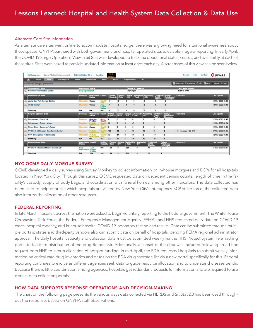#### Alternate Care Site Information

As alternate care sites went online to accommodate hospital surge, there was a growing need for situational awareness about these spaces. GNYHA partnered with both government- and hospital-operated sites to establish regular reporting. In early April, the COVID-19 Surge Operations View in Sit Stat was developed to track the operational status, census, and availability at each of these sites. Sites were asked to provide updated information at least once each day. A screenshot of this view can be seen below.

| Samia McEachin (smceachin)<br>EMResource -                 | GNYHA SitStat 2.0 -                                   | Log Out                             |                               | TLP-                               |               |                                |                                                                                                          |                                |                                |                                      | Help<br>Search                                           | Contact | <b>U</b> JUVARE    |
|------------------------------------------------------------|-------------------------------------------------------|-------------------------------------|-------------------------------|------------------------------------|---------------|--------------------------------|----------------------------------------------------------------------------------------------------------|--------------------------------|--------------------------------|--------------------------------------|----------------------------------------------------------|---------|--------------------|
| Setup<br>View<br><b>Other Regions</b><br>ሐ                 | Event                                                 | <b>Preferences</b>                  | Form                          | Report                             |               | <b>Regional Info</b>           |                                                                                                          | <b>IM</b>                      |                                |                                      |                                                          |         |                    |
| <b>CoVID-19 Surge Operations</b>                           |                                                       |                                     |                               |                                    |               |                                |                                                                                                          |                                |                                |                                      | Sashow map X customize E print E excel 2 refresh in help |         |                    |
| Coordination Center<br><b>New York Coordination Center</b> | <b>Operational Status</b><br><b>Fully Operational</b> |                                     |                               |                                    |               |                                | <b>Hours of Operation</b><br>Tam-4pm                                                                     |                                |                                |                                      | Call Center Phone #<br>212-542-1700                      |         |                    |
| <b>Alternate Care Sites</b>                                | Borough                                               | Operational CoVID                   |                               |                                    |               |                                | Staffed Census Census Availability Availability Confirmed<br>Capacity Total - ICU - Total - ICU Positive |                                |                                | Today's<br>Anticipated<br>Discharges | Comment                                                  |         | <b>Last Update</b> |
| <b>Javits New York Medical Station</b>                     | Manhat                                                | Closed                              | CoVID<br>Only                 | $\circ$                            | $\Omega$      | $\circ$                        | $\Omega$                                                                                                 | $\circ$                        | $\Omega$                       | ٥                                    |                                                          |         | 12 May 2020 10:48  |
| <b>USNS Comfort</b>                                        | Manha                                                 | Closed                              | Any<br>CoVID<br><b>Status</b> | $\Omega$                           | $\Omega$      | $\Omega$                       | $\Omega$                                                                                                 | $\ddot{\mathbf{0}}$            | $\mathbf{a}$                   |                                      |                                                          |         | 12 May 2020 10:48  |
| Summary                                                    | N/A                                                   | N/A                                 | <b>N/A</b>                    | $\Omega$                           | $\circ$       | $\mathbf{0}$                   | $\mathbf{0}$                                                                                             | $\bullet$                      | ۰                              | $\circ$                              |                                                          |         |                    |
| <b>Hospital-Operated Sites</b>                             | Borough                                               | <b>Operational</b><br><b>Status</b> | CoVID                         | <b>Staffed</b><br>Capacity - Total | <b>Census</b> | <b>Census</b><br>$ $ - ICU     | Availability<br>- Total                                                                                  | <b>Availability</b><br>$-ICU$  | Confirmed<br>CoVID<br>Positive | Today's<br>Anticipated<br>Discharges | Comment                                                  |         | <b>Last Update</b> |
| <b>Malmonides - Boro Park</b>                              | Brooklyr                                              | <b>Opening</b><br>Pending           | Non-<br>CoVID                 | $\circ$                            | $\circ$       | $\mathbf{0}$                   | $\mathbf 0$                                                                                              | $\mathbf{0}$                   | $\alpha$                       | $\mathbf o$                          |                                                          |         | 12 May 2020 10:48  |
| <b>Maimonides - Crown Heights</b>                          | Brooklyn                                              | artiall                             | CoVID                         | 50                                 | 3             | $\Omega$                       | 47                                                                                                       | $\Omega$                       | $\blacktriangleleft$           | $\overline{2}$                       |                                                          |         | 12 May 2020 08:54  |
| Mount Sinai - Samaritan's Purse                            | Manhat                                                | Closed                              | CoVID+<br>Only                | $\mathbf 0$                        | $\circ$       | $\Omega$                       | o                                                                                                        | $\mathbf 0$                    | $\circ$                        | $\mathbf 0$                          |                                                          |         | 12 May 2020 10:48  |
| NYC H+H - Billie Jean King Tennis Center                   | Queens                                                | Partially                           | CoVI                          | 100                                | 10            |                                | 90                                                                                                       | 19                             | $\mathbf{Q}$                   | 3                                    | 121 med/surg + 20 ICU                                    |         | 07 May 2020 06:35  |
| NYP - Ryan Larkin Field Hospital                           | Manhatti                                              | Partially<br>Operation              | CoVID<br>Only                 | 73                                 | 17            | $\Omega$                       | 56                                                                                                       | $\mathbf 0$                    | 17                             | $\mathbf{0}$                         |                                                          |         | 12 May 2020 10:48  |
| Summary                                                    | <b>N/A</b>                                            | N/A                                 | <b>N/A</b>                    | 223                                | 30            |                                | 193                                                                                                      | 19                             | 27                             | ß                                    |                                                          |         |                    |
| <b>Alternate Care Sites</b>                                | Operational CoVID                                     |                                     | Staffed<br>Capacity           | Census Census:<br>Total ICU        |               | <b>Availability</b><br>- Total | Availability:<br>ICU                                                                                     | Confirmed<br>CoVID<br>Positive |                                | Today's<br>Anticipated<br>Discharges | Comment                                                  |         | <b>Last Update</b> |
| NYC H+H - Roosevelt Island Medical Ctr                     | <b>Fully</b><br>Operational                           | CoVID<br><b>Status</b>              | 200                           | 99                                 | $\Omega$      | 251                            | $\Omega$                                                                                                 | 71                             | 5                              |                                      |                                                          |         | 11 May 2020 10:36  |
| Summary                                                    | N/A                                                   | <b>N/A</b>                          | 200                           | 99                                 | $\Omega$      | 251                            | $\Omega$                                                                                                 | 71                             | 5                              |                                      |                                                          |         |                    |

#### NYC OCME DAILY MORGUE SURVEY

OCME developed a daily survey using Survey Monkey to collect information on in-house morgues and BCPs for all hospitals located in New York City. Through this survey, OCME requested data on decedent census counts, length of time in the facility's custody, supply of body bags, and coordination with funeral homes, among other indicators. The data collected has been used to help prioritize which hospitals are visited by New York City's interagency BCP strike force; the collected data also informs the allocation of other resources.

#### FEDERAL REPORTING

In late March, hospitals across the nation were asked to begin voluntary reporting to the Federal government. The White House Coronavirus Task Force, the Federal Emergency Management Agency (FEMA), and HHS requested daily data on COVID-19 cases, hospital capacity, and in-house hospital COVID-19 laboratory testing and results. Data can be submitted through multiple portals; states and third-party vendors also can submit data on behalf of hospitals, pending FEMA regional administrator approval. The daily hospital capacity and utilization data must be submitted weekly via the HHS Protect System TeleTracking portal to facilitate distribution of the drug Remdesivir. Additionally, a subset of the data was included following an ad-hoc request from HHS to inform allocation of hotspot funding. In mid-April, the FDA requested hospitals to submit weekly information on critical care drug inventories and drugs on the FDA drug shortage list via a new portal specifically for this. Federal reporting continues to evolve as different agencies seek data to guide resource allocation and to understand disease trends. Because there is little coordination among agencies, hospitals get redundant requests for information and are required to use distinct data collection portals.

#### HOW DATA SUPPORTS RESPONSE OPERATIONS AND DECISION-MAKING

The chart on the following page presents the various ways data collected via HERDS and Sit Stat 2.0 has been used throughout the response, based on GNYHA staff observations.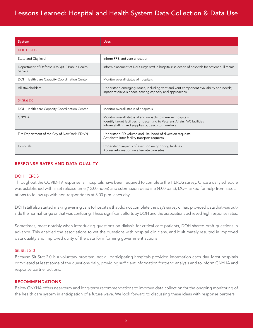| <b>System</b>                                           | <b>Uses</b>                                                                                                                                                                                   |
|---------------------------------------------------------|-----------------------------------------------------------------------------------------------------------------------------------------------------------------------------------------------|
| <b>DOH HERDS</b>                                        |                                                                                                                                                                                               |
| State and City level                                    | Inform PPE and vent allocation                                                                                                                                                                |
| Department of Defense (DoD)/US Public Health<br>Service | Inform placement of DoD surge staff in hospitals; selection of hospitals for patient pull teams                                                                                               |
| DOH Health care Capacity Coordination Center            | Monitor overall status of hospitals                                                                                                                                                           |
| All stakeholders                                        | Understand emerging issues, including vent and vent component availability and needs;<br>inpatient dialysis needs; testing capacity and approaches                                            |
| Sit Stat 2.0                                            |                                                                                                                                                                                               |
| DOH Health care Capacity Coordination Center            | Monitor overall status of hospitals                                                                                                                                                           |
| <b>GNYHA</b>                                            | Monitor overall status of and impacts to member hospitals<br>Identify target facilities for decanting to Veterans Affairs (VA) facilities<br>Inform staffing and supplies outreach to members |
| Fire Department of the City of New York (FDNY)          | Understand ED volume and likelihood of diversion requests<br>Anticipate inter-facility transport requests                                                                                     |
| Hospitals                                               | Understand impacts of event on neighboring facilities<br>Access information on alternate care sites                                                                                           |

#### RESPONSE RATES AND DATA QUALITY

#### DOH HERDS

Throughout the COVID-19 response, all hospitals have been required to complete the HERDS survey. Once a daily schedule was established with a set release time (12:00 noon) and submission deadline (4:00 p.m.), DOH asked for help from associations to follow up with non-respondents at 3:00 p.m. each day.

DOH staff also started making evening calls to hospitals that did not complete the day's survey or had provided data that was outside the normal range or that was confusing. These significant efforts by DOH and the associations achieved high response rates.

Sometimes, most notably when introducing questions on dialysis for critical care patients, DOH shared draft questions in advance. This enabled the associations to vet the questions with hospital clinicians, and it ultimately resulted in improved data quality and improved utility of the data for informing government actions.

#### Sit Stat 2.0

Because Sit Stat 2.0 is a voluntary program, not all participating hospitals provided information each day. Most hospitals completed at least some of the questions daily, providing sufficient information for trend analysis and to inform GNYHA and response partner actions.

#### RECOMMENDATIONS

Below GNYHA offers near-term and long-term recommendations to improve data collection for the ongoing monitoring of the health care system in anticipation of a future wave. We look forward to discussing these ideas with response partners.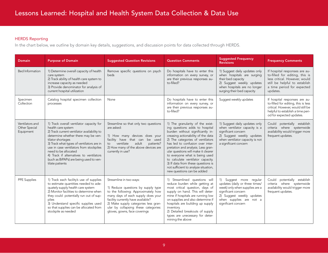#### HERDS Reporting

In the chart below, we outline by domain key details, suggestions, and discussion points for data collected through HERDS.

| <b>Domain</b>                                 | <b>Purpose of Domain</b>                                                                                                                                                                                                                                                                                                                                                                           | <b>Suggested Question Revisions</b>                                                                                                                                                                                                                                                               | <b>Question Comments</b>                                                                                                                                                                                                                                                                                                                                                                                                                                                             | <b>Suggested Frequency</b><br><b>Revisions</b>                                                                                                                                                    | <b>Frequency Comments</b>                                                                                                                                                   |  |
|-----------------------------------------------|----------------------------------------------------------------------------------------------------------------------------------------------------------------------------------------------------------------------------------------------------------------------------------------------------------------------------------------------------------------------------------------------------|---------------------------------------------------------------------------------------------------------------------------------------------------------------------------------------------------------------------------------------------------------------------------------------------------|--------------------------------------------------------------------------------------------------------------------------------------------------------------------------------------------------------------------------------------------------------------------------------------------------------------------------------------------------------------------------------------------------------------------------------------------------------------------------------------|---------------------------------------------------------------------------------------------------------------------------------------------------------------------------------------------------|-----------------------------------------------------------------------------------------------------------------------------------------------------------------------------|--|
| <b>Bed Information</b>                        | 1) Determine overall capacity of health<br>care system<br>2) Track ability of health care system to<br>increase capacity as needed<br>3) Provide denominator for analysis of<br>current hospital utilization                                                                                                                                                                                       | Remove specific questions on psych<br>beds                                                                                                                                                                                                                                                        | Do hospitals have to enter this<br>information on every survey, or<br>are their previous responses au-<br>to-filled?                                                                                                                                                                                                                                                                                                                                                                 | 1) Suggest daily updates only<br>when hospitals are surging<br>their bed capacity<br>2) Suggest weekly updates<br>when hospitals are no longer<br>surging their bed capacity                      | If hospital responses are au-<br>to-filled for editing, this is<br>less critical. However, would<br>still be helpful to establish<br>a time period for expected<br>updates. |  |
| Specimen<br>Collection                        | Catalog hospital specimen collection<br>processes                                                                                                                                                                                                                                                                                                                                                  | None                                                                                                                                                                                                                                                                                              | Do hospitals have to enter this<br>information on every survey, or<br>are their previous responses au-<br>to-filled?                                                                                                                                                                                                                                                                                                                                                                 | Suggest weekly updates                                                                                                                                                                            | If hospital responses are au-<br>to-filled for editing, this is less<br>critical. However, would still be<br>helpful to establish a time peri-<br>od for expected updates.  |  |
| Ventilators and<br>Other Special<br>Equipment | 1) Track overall ventilator capacity for<br>health care system<br>2) Track current ventilator availability to<br>determine whether there may be ven-<br>tilator shortages<br>3) Track what types of ventilators are in<br>use in case ventilators from stockpiles<br>need to be allocated<br>4) Track if alternatives to ventilators<br>(such as BiPAPs) are being used to ven-<br>tilate patients | Streamline so that only two questions<br>are asked:<br>1) How many devices does your<br>facility have that can be used<br>ventilate<br>adult<br>patients?<br>to<br>2) How many of the above devices are<br>currently in use?                                                                      | 1) The granularity of the exist-<br>ing questions adds to hospital<br>burden without significantly in-<br>creasing actionability of the data<br>2) The categories of ventilators<br>has led to confusion over inter-<br>pretation and analysis. Less gran-<br>ular questions will make it clearer<br>to everyone what is being used<br>to calculate ventilator capacity.<br>3) If data from these questions is<br>not sufficient to analyze situation,<br>new questions can be added | 1) Suggest daily updates only<br>when ventilator capacity is a<br>significant concern<br>2) Suggest weekly updates<br>when ventilator capacity is not<br>a significant concern                    | Could potentially establish<br>criteria where systemwide<br>availability would trigger more<br>frequent updates.                                                            |  |
| PPE Supplies                                  | 1) Track each facility's use of supplies<br>to estimate quantities needed to ade-<br>quately supply health care system<br>2) Monitor facilities to determine when<br>they could potentially run out of sup-<br>plies<br>3) Understand specific supplies used<br>so that supplies can be allocated from<br>stockpile as needed                                                                      | Streamline in two ways:<br>1) Reduce questions by supply type<br>to the following: Approximately how<br>many days of each supply does your<br>facility currently have available?<br>2) Make supply categories less gran-<br>ular by collapsing these categories:<br>gloves, gowns, face coverings | 1) Streamlined questions will<br>reduce burden while getting at<br>most critical question, days of<br>supply on hand. This will deter-<br>mine if hospitals are running low<br>on supplies and also determine if<br>hospitals are building up supply<br>inventory.<br>2) Detailed breakouts of supply<br>types are unecessary for deter-<br>mining the above                                                                                                                         | 1) Suggest more regular<br>updates (daily or three times/<br>week) only when supplies are a<br>significant concern<br>2) Suggest weekly updates<br>when supplies are not a<br>significant concern | Could potentially establish<br>criteria where systemwide<br>availability would trigger more<br>frequent updates.                                                            |  |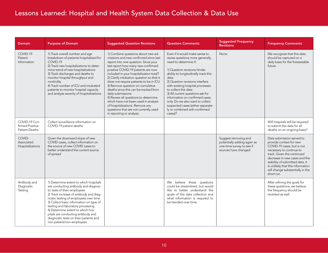| <b>Domain</b>                                      | <b>Purpose of Domain</b>                                                                                                                                                                                                                                                                                                                                                                                                             | <b>Suggested Question Revisions</b>                                                                                                                                                                                                                                                                                                                                                                                                                                                                                                                                                                                          | <b>Question Comments</b>                                                                                                                                                                                                                                                                                                                                                                                                                                              | <b>Suggested Frequency</b><br><b>Revisions</b>                                                           | <b>Frequency Comments</b>                                                                                                                                                                                                                                                                               |
|----------------------------------------------------|--------------------------------------------------------------------------------------------------------------------------------------------------------------------------------------------------------------------------------------------------------------------------------------------------------------------------------------------------------------------------------------------------------------------------------------|------------------------------------------------------------------------------------------------------------------------------------------------------------------------------------------------------------------------------------------------------------------------------------------------------------------------------------------------------------------------------------------------------------------------------------------------------------------------------------------------------------------------------------------------------------------------------------------------------------------------------|-----------------------------------------------------------------------------------------------------------------------------------------------------------------------------------------------------------------------------------------------------------------------------------------------------------------------------------------------------------------------------------------------------------------------------------------------------------------------|----------------------------------------------------------------------------------------------------------|---------------------------------------------------------------------------------------------------------------------------------------------------------------------------------------------------------------------------------------------------------------------------------------------------------|
| COVID-19<br>Patient<br>Information                 | 1) Track overall number and age<br>breakdown of patients hospitalized for<br>COVID-19<br>2) Track new hospitalizations to deter-<br>mine trend of new hospitalizations<br>3) Track discharges and deaths to<br>monitor hospital throughput and<br>morbidity<br>4) Track number of ICU and intubated<br>patients to monitor hospital capacity<br>and analyze severity of hospitalizations                                             | 1) Combine questions about new ad-<br>missions and new confirmed since last<br>report into one question: Since your<br>last report how many new confirmed<br>positive COVID-19 patients are now<br>included in your hospitalization total?<br>2) Clarify intubation question so that it<br>does not require patients to be in ICU<br>3) Remove question on cumulative<br>deaths since this can be tracked from<br>daily submissions<br>4) Review all questions to determine<br>which have not been used in analysis<br>of hospitalizations. Remove any<br>questions that are not currently used<br>in reporting or analysis. | Even if it would make sense to<br>revise questions more generally,<br>need to determine if:<br>1) Question revisions hinder<br>ability to longitudinally track this<br>data<br>2) Question revisions interfere<br>with existing hospital processes<br>to collect this data<br>3) All current questions ask for<br>information on confirmed cases<br>only. Do we also want to collect<br>suspected cases (either separate-<br>ly or combined with confirmed<br>cases)? | None                                                                                                     | We recognize that this data<br>should be captured on a<br>daily basis for the foreseeable<br>future                                                                                                                                                                                                     |
| COVID-19 Con-<br>firmed Positive<br>Patient Deaths | Collect surveillance information on<br>COVID-19 patient deaths                                                                                                                                                                                                                                                                                                                                                                       |                                                                                                                                                                                                                                                                                                                                                                                                                                                                                                                                                                                                                              |                                                                                                                                                                                                                                                                                                                                                                                                                                                                       |                                                                                                          | Will hospitals still be required<br>to submit this data for all<br>deaths on an ongoing basis?                                                                                                                                                                                                          |
| COVID-<br>Associated<br>Hospitalizations           | Given the downward slope of new<br>COVID cases, collect information on<br>the source of new COVID cases to<br>better understand the current source<br>of spread                                                                                                                                                                                                                                                                      |                                                                                                                                                                                                                                                                                                                                                                                                                                                                                                                                                                                                                              |                                                                                                                                                                                                                                                                                                                                                                                                                                                                       | Suggest removing and<br>potentially adding again as<br>one-time survey to see if<br>sources have changed | Data submission served to<br>provide context for new<br>COVID-19 cases, but is not<br>necessary to continue to<br>track. Given the continued<br>decrease in new cases and the<br>stability of submitted data, it<br>is unlikely that this information<br>will change substantially in the<br>short run. |
| Antibody and<br>Diagnostic<br>Testing              | 1) Determine extent to which hospitals<br>are conducting antibody and diagnos-<br>tic tests of their employees<br>2) Track increase of antibody and diag-<br>nostic testing of employees over time<br>3) Collect basic information on type of<br>testing and laboratory processing<br>4) Determine extent to which hos-<br>pitals are conducting antibody and<br>diagnostic tests on their patients and<br>non-patient/non-employees |                                                                                                                                                                                                                                                                                                                                                                                                                                                                                                                                                                                                                              | We believe these questions<br>could be streamlined, but would<br>like to better understand the<br>goals of this data collection and<br>what information is required to<br>be trended over time.                                                                                                                                                                                                                                                                       |                                                                                                          | After refining the goals for<br>these questions, we believe<br>the frequency should be<br>revisited as well.                                                                                                                                                                                            |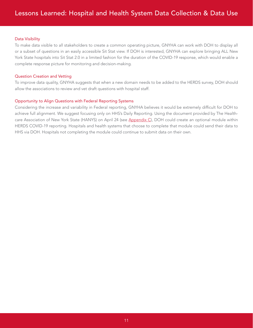#### Data Visibility

To make data visible to all stakeholders to create a common operating picture, GNYHA can work with DOH to display all or a subset of questions in an easily accessible Sit Stat view. If DOH is interested, GNYHA can explore bringing ALL New York State hospitals into Sit Stat 2.0 in a limited fashion for the duration of the COVID-19 response, which would enable a complete response picture for monitoring and decision-making.

#### Question Creation and Vetting

To improve data quality, GNYHA suggests that when a new domain needs to be added to the HERDS survey, DOH should allow the associations to review and vet draft questions with hospital staff.

#### Opportunity to Align Questions with Federal Reporting Systems

Considering the increase and variability in Federal reporting, GNYHA believes it would be extremely difficult for DOH to achieve full alignment. We suggest focusing only on HHS's Daily Reporting. Using the document provided by The Health-care Association of New York State (HANYS) on April 24 (see [Appendix C](#page-34-0)), DOH could create an optional module within HERDS COVID-19 reporting. Hospitals and health systems that choose to complete that module could send their data to HHS via DOH. Hospitals not completing the module could continue to submit data on their own.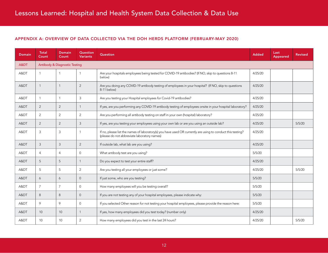#### <span id="page-11-0"></span>APPENDIX A: OVERVIEW OF DATA COLLECTED VIA THE DOH HERDS PLATFORM (FEBRUARY-MAY 2020)

| <b>Domain</b> | <b>Total</b><br>Count | Domain<br>Count                          | Question<br><b>Variants</b> | Question                                                                                                                                                   | <b>Added</b> | Last<br>Appeared | <b>Revised</b> |
|---------------|-----------------------|------------------------------------------|-----------------------------|------------------------------------------------------------------------------------------------------------------------------------------------------------|--------------|------------------|----------------|
| A&DT          |                       | <b>Antibody &amp; Diagnostic Testing</b> |                             |                                                                                                                                                            |              |                  |                |
| A&DT          | $\mathbf{1}$          | $\mathbf{1}$                             |                             | Are your hospitals employees being tested for COVID-19 antibodies? (If NO, skip to questions 8-11<br>below)                                                | 4/25/20      |                  |                |
| A&DT          | $\mathbf{1}$          | $\mathbf{1}$                             | $\overline{2}$              | Are you doing any COVID-19 antibody testing of employees in your hospital? (If NO, skip to questions<br>8-11 below)                                        | 4/25/20      |                  |                |
| A&DT          | $\mathbf{1}$          | $\mathbf{1}$                             | 3                           | Are you testing your Hospital employees for Covid-19 antibodies?                                                                                           | 4/25/20      |                  |                |
| A&DT          | 2                     | 2                                        | -1                          | If yes, are you performing any COVID-19 antibody testing of employees onsite in your hospital laboratory?                                                  | 4/25/20      |                  |                |
| A&DT          | 2                     | 2                                        | 2                           | Are you performing all antibody testing on staff in your own (hospital) laboratory?                                                                        | 4/25/20      |                  |                |
| A&DT          | $\overline{2}$        | $\sqrt{2}$                               | 3                           | If yes, are you testing your employees using your own lab or are you using an outside lab?                                                                 | 4/25/20      |                  | 5/5/20         |
| A&DT          | 3                     | $\mathbf{3}$                             | -1                          | If no, please list the names of laboratory(s) you have used OR currently are using to conduct this testing?<br>(please do not abbreviate laboratory names) | 4/25/20      |                  |                |
| A&DT          | 3                     | $\mathfrak{Z}$                           | 2                           | If outside lab, what lab are you using?                                                                                                                    | 4/25/20      |                  |                |
| A&DT          | $\overline{4}$        | $\overline{4}$                           | $\Omega$                    | What antibody test are you using?                                                                                                                          | 5/5/20       |                  |                |
| A&DT          | 5                     | $\sqrt{5}$                               |                             | Do you expect to test your entire staff?                                                                                                                   | 4/25/20      |                  |                |
| A&DT          | 5                     | 5                                        | 2                           | Are you testing all your employees or just some?                                                                                                           | 4/25/20      |                  | 5/5/20         |
| A&DT          | 6                     | 6                                        | $\Omega$                    | If just some, who are you testing?                                                                                                                         | 5/5/20       |                  |                |
| A&DT          | $\overline{7}$        | $\overline{7}$                           | $\Omega$                    | How many employees will you be testing overall?                                                                                                            | 5/5/20       |                  |                |
| A&DT          | 8                     | 8                                        | $\overline{0}$              | If you are not testing any of your hospital employees, please indicate why:                                                                                | 5/5/20       |                  |                |
| A&DT          | 9                     | 9                                        | $\mathbf{0}$                | If you selected Other reason for not testing your hospital employees, please provide the reason here:                                                      | 5/5/20       |                  |                |
| A&DT          | 10                    | 10                                       | $\overline{1}$              | If yes, how many employees did you test today? (number only)                                                                                               | 4/25/20      |                  |                |
| A&DT          | 10                    | 10                                       | 2                           | How many employees did you test in the last 24 hours?                                                                                                      | 4/25/20      |                  | 5/5/20         |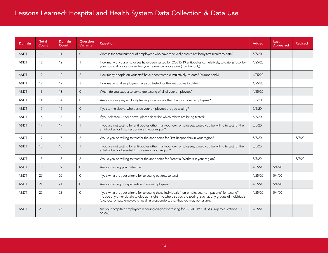| <b>Domain</b> | <b>Total</b><br>Count | <b>Domain</b><br>Count | Question<br><b>Variants</b> | <b>Question</b>                                                                                                                                                                                                                                                                                                     | <b>Added</b> | Last<br>Appeared | <b>Revised</b> |
|---------------|-----------------------|------------------------|-----------------------------|---------------------------------------------------------------------------------------------------------------------------------------------------------------------------------------------------------------------------------------------------------------------------------------------------------------------|--------------|------------------|----------------|
| A&DT          | 11                    | 11                     | $\overline{0}$              | What is the total number of employees who have received positive antibody test results to date?                                                                                                                                                                                                                     | 5/5/20       |                  |                |
| A&DT          | 12                    | 12                     | $\mathbf{1}$                | How many of your employees have been tested for COVID-19 antibodies cumulatively, to date,   by<br>your hospital laboratory and/or your reference laboratory? (number only)                                                                                                                                         | 4/25/20      |                  |                |
| A&DT          | 12                    | 12                     | 2                           | How many people on your staff have been tested cumulatively, to date? (number only)                                                                                                                                                                                                                                 | 4/25/20      |                  |                |
| A&DT          | 12                    | 12                     | 3                           | How many total employees have you tested for the antibodies to date?                                                                                                                                                                                                                                                | 4/25/20      |                  |                |
| A&DT          | 13                    | 13                     | $\Omega$                    | When do you expect to complete testing of all of your employees?                                                                                                                                                                                                                                                    | 4/25/20      |                  |                |
| A&DT          | 14                    | 14                     | $\mathbf{0}$                | Are you doing any antibody testing for anyone other than your own employees?                                                                                                                                                                                                                                        | 5/5/20       |                  |                |
| A&DT          | 15                    | 15                     | $\Omega$                    | If yes to the above, who beside your employees are you testing?                                                                                                                                                                                                                                                     | 5/5/20       |                  |                |
| A&DT          | 16                    | 16                     | $\Omega$                    | If you selected Other above, please describe which others are being tested:                                                                                                                                                                                                                                         | 5/5/20       |                  |                |
| A&DT          | 17                    | 17                     | $\mathbf{1}$                | If you are not testing for anti-bodies other than your own employees, would you be willing to test for the<br>anti-bodies for First Responders in your region?                                                                                                                                                      | 5/5/20       |                  |                |
| A&DT          | 17                    | 17                     | 2                           | Would you be willing to test for the antibodies for First Responders in your region?                                                                                                                                                                                                                                | 5/5/20       |                  | 5/7/20         |
| A&DT          | 18                    | 18                     | $\mathbf{1}$                | If you are not testing for anti-bodies other than your own employees, would you be willing to test for the<br>anti-bodies for Essential Employees in your region?                                                                                                                                                   | 5/5/20       |                  |                |
| A&DT          | 18                    | 18                     | 2                           | Would you be willing to test for the antibodies for Essential Workers in your region?                                                                                                                                                                                                                               | 5/5/20       |                  | 5/7/20         |
| A&DT          | 19                    | 19                     | $\overline{0}$              | Are you testing your patients?                                                                                                                                                                                                                                                                                      | 4/25/20      | 5/4/20           |                |
| A&DT          | 20                    | 20                     | $\Omega$                    | If yes, what are your criteria for selecting patients to test?                                                                                                                                                                                                                                                      | 4/25/20      | 5/4/20           |                |
| A&DT          | 21                    | 21                     | $\overline{0}$              | Are you testing non-patients and non-employees?                                                                                                                                                                                                                                                                     | 4/25/20      | 5/4/20           |                |
| A&DT          | 22                    | 22                     | $\Omega$                    | If yes, what are your criteria for selecting these individuals (non-employees, non-patients) for testing?<br>Include any other details to give us insight into who else you are testing, such as any groups of individuals<br>(e.g. local private employers, local first responders, etc.) that you may be testing. | 4/25/20      | 5/4/20           |                |
| A&DT          | 23                    | 23                     | $\mathbf{1}$                | Are your hospital's employees receiving diagnostic testing for COVID-19? (If NO, skip to questions 8-11<br>below)                                                                                                                                                                                                   | 4/25/20      |                  |                |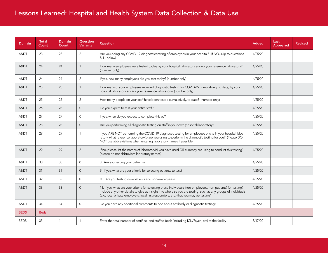| <b>Domain</b> | Total<br>Count | <b>Domain</b><br>Count | Question<br><b>Variants</b> | Question                                                                                                                                                                                                                                                                                                                | <b>Added</b> | Last<br>Appeared | <b>Revised</b> |
|---------------|----------------|------------------------|-----------------------------|-------------------------------------------------------------------------------------------------------------------------------------------------------------------------------------------------------------------------------------------------------------------------------------------------------------------------|--------------|------------------|----------------|
| A&DT          | 23             | 23                     | 2                           | Are you doing any COVID-19 diagnostic testing of employees in your hospital? (If NO, skip to questions<br>8-11 below)                                                                                                                                                                                                   | 4/25/20      |                  |                |
| A&DT          | 24             | 24                     | $\overline{1}$              | How many employees were tested today, by your hospital laboratory and/or your reference laboratory?<br>(number only)                                                                                                                                                                                                    | 4/25/20      |                  |                |
| A&DT          | 24             | 24                     | 2                           | If yes, how many employees did you test today? (number only)                                                                                                                                                                                                                                                            | 4/25/20      |                  |                |
| A&DT          | 25             | 25                     | $\mathbf{1}$                | How many of your employees received diagnostic testing for COVID-19 cumulatively, to date, by your<br>hospital laboratory and/or your reference laboratory? (number only)                                                                                                                                               | 4/25/20      |                  |                |
| A&DT          | 25             | 25                     | 2                           | How many people on your staff have been tested cumulatively, to date? (number only)                                                                                                                                                                                                                                     | 4/25/20      |                  |                |
| A&DT          | 26             | 26                     | $\overline{0}$              | Do you expect to test your entire staff?                                                                                                                                                                                                                                                                                | 4/25/20      |                  |                |
| A&DT          | 27             | 27                     | $\Omega$                    | If yes, when do you expect to complete this by?                                                                                                                                                                                                                                                                         | 4/25/20      |                  |                |
| A&DT          | 28             | 28                     | $\Omega$                    | Are you performing all diagnostic testing on staff in your own (hospital) laboratory?                                                                                                                                                                                                                                   | 4/25/20      |                  |                |
| A&DT          | 29             | 29                     | $\mathbf{1}$                | If you ARE NOT performing the COVID-19 diagnostic testing for employees onsite in your hospital labo-<br>ratory, what reference laboratory(s) are you using to perform the diagnostic testing for you? (Please DO<br>NOT use abbreviations when entering laboratory names if possible)                                  | 4/25/20      |                  |                |
| A&DT          | 29             | 29                     | $\overline{2}$              | If no, please list the names of laboratory(s) you have used OR currently are using to conduct this testing?<br>(please do not abbreviate laboratory names)                                                                                                                                                              | 4/25/20      |                  |                |
| A&DT          | 30             | 30 <sup>°</sup>        | $\Omega$                    | 8. Are you testing your patients?                                                                                                                                                                                                                                                                                       | 4/25/20      |                  |                |
| A&DT          | 31             | 31                     | $\Omega$                    | 9. If yes, what are your criteria for selecting patients to test?                                                                                                                                                                                                                                                       | 4/25/20      |                  |                |
| A&DT          | 32             | 32                     | $\overline{0}$              | 10. Are you testing non-patients and non-employees?                                                                                                                                                                                                                                                                     | 4/25/20      |                  |                |
| A&DT          | 33             | 33                     | $\Omega$                    | 11. If yes, what are your criteria for selecting these individuals (non-employees, non-patients) for testing?<br>Include any other details to give us insight into who else you are testing, such as any groups of individuals<br>(e.g. local private employers, local first responders, etc.) that you may be testing" | 4/25/20      |                  |                |
| A&DT          | 34             | 34                     | $\mathbf{0}$                | Do you have any additional comments to add about antibody or diagnostic testing?                                                                                                                                                                                                                                        | 4/25/20      |                  |                |
| <b>BEDS</b>   | <b>Beds</b>    |                        |                             |                                                                                                                                                                                                                                                                                                                         |              |                  |                |
| <b>BEDS</b>   | 35             | $\mathbf{1}$           | $\overline{1}$              | Enter the total number of certified and staffed beds (including ICU/Psych, etc) at the facility                                                                                                                                                                                                                         | 3/17/20      |                  |                |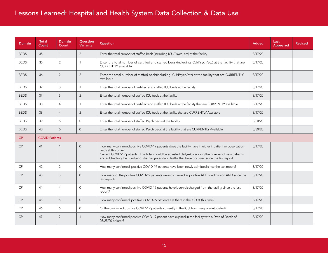| Domain      | <b>Total</b><br>Count | <b>Domain</b><br>Count | Question<br><b>Variants</b> | Question                                                                                                                                                                                                                                                                                                                                | <b>Added</b> | Last<br>Appeared | <b>Revised</b> |
|-------------|-----------------------|------------------------|-----------------------------|-----------------------------------------------------------------------------------------------------------------------------------------------------------------------------------------------------------------------------------------------------------------------------------------------------------------------------------------|--------------|------------------|----------------|
| <b>BEDS</b> | 35                    | $\mathbf{1}$           | 2                           | Enter the total number of staffed beds (including ICU/Psych, etc) at the facility                                                                                                                                                                                                                                                       | 3/17/20      |                  |                |
| <b>BEDS</b> | 36                    | 2                      | -1                          | Enter the total number of certified and staffed beds (including ICU/Psych/etc) at the facility that are<br><b>CURRENTLY</b> available                                                                                                                                                                                                   | 3/17/20      |                  |                |
| <b>BEDS</b> | 36                    | 2                      | 2                           | Enter the total number of staffed beds(including ICU/Psych/etc) at the facility that are CURRENTLY<br>Available                                                                                                                                                                                                                         | 3/17/20      |                  |                |
| <b>BEDS</b> | 37                    | $\mathfrak{Z}$         | $\mathbf{1}$                | Enter the total number of certified and staffed ICU beds at the facility                                                                                                                                                                                                                                                                | 3/17/20      |                  |                |
| <b>BEDS</b> | 37                    | 3                      | 2                           | Enter the total number of staffed ICU beds at the facility                                                                                                                                                                                                                                                                              | 3/17/20      |                  |                |
| <b>BEDS</b> | 38                    | $\overline{4}$         | $\mathbf{1}$                | Enter the total number of certified and staffed ICU beds at the facility that are CURRENTLY available                                                                                                                                                                                                                                   | 3/17/20      |                  |                |
| <b>BEDS</b> | 38                    | $\overline{4}$         | 2                           | Enter the total number of staffed ICU beds at the facility that are CURRENTLY Available                                                                                                                                                                                                                                                 | 3/17/20      |                  |                |
| <b>BEDS</b> | 39                    | 5                      | $\Omega$                    | Enter the total number of staffed Psych beds at the facility                                                                                                                                                                                                                                                                            | 3/30/20      |                  |                |
| <b>BEDS</b> | 40                    | 6                      | $\overline{0}$              | Enter the total number of staffed Psych beds at the facility that are CURRENTLY Available                                                                                                                                                                                                                                               | 3/30/20      |                  |                |
| CP          | <b>COVID Patients</b> |                        |                             |                                                                                                                                                                                                                                                                                                                                         |              |                  |                |
| CP          | 41                    | $\mathbf{1}$           | $\Omega$                    | How many confirmed positive COVID-19 patients does the facility have in either inpatient or observation<br>beds at this time?<br>Current COVID-19 patients: This total should be adjusted daily-by adding the number of new patients<br>and subtracting the number of discharges and/or deaths that have occurred since the last report | 3/17/20      |                  |                |
| <b>CP</b>   | 42                    | $\overline{2}$         | $\Omega$                    | How many confirmed, positive COVID-19 patients have been newly admitted since the last report?                                                                                                                                                                                                                                          | 3/17/20      |                  |                |
| <b>CP</b>   | 43                    | 3                      | $\Omega$                    | How many of the positive COVID-19 patients were confirmed as positive AFTER admission AND since the<br>last report?                                                                                                                                                                                                                     | 3/17/20      |                  |                |
| <b>CP</b>   | 44                    | $\overline{4}$         | $\mathbf 0$                 | How many confirmed positive COVID-19 patients have been discharged from the facility since the last<br>report?                                                                                                                                                                                                                          | 3/17/20      |                  |                |
| CP          | 45                    | 5                      | $\Omega$                    | How many confirmed, positive COVID-19 patients are there in the ICU at this time?                                                                                                                                                                                                                                                       | 3/17/20      |                  |                |
| CP          | 46                    | 6                      | $\Omega$                    | Of the confirmed positive COVID-19 patients currently in the ICU, how many are intubated?                                                                                                                                                                                                                                               | 3/17/20      |                  |                |
| CP          | 47                    | $\overline{7}$         | 1                           | How many confirmed positive COVID-19 patient have expired in the facility with a Date of Death of<br>03/25/20 or later?                                                                                                                                                                                                                 | 3/17/20      |                  |                |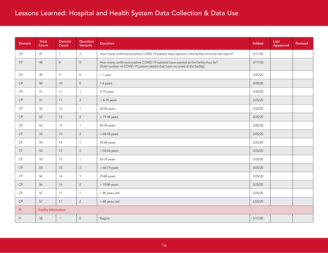| <b>Domain</b> | Total<br>Count              | <b>Domain</b><br>Count | <b>Question</b><br><b>Variants</b> | <b>Question</b>                                                                                                                                                      | <b>Added</b> | Last<br>Appeared | <b>Revised</b> |
|---------------|-----------------------------|------------------------|------------------------------------|----------------------------------------------------------------------------------------------------------------------------------------------------------------------|--------------|------------------|----------------|
| $\mathsf{CP}$ | 47                          | $\overline{7}$         | $\overline{2}$                     | How many confirmed positive COVID-19 patient have expired in the facility since the last report?                                                                     | 3/17/20      |                  |                |
| $\mathsf{CP}$ | 48                          | 8                      | $\mathbf 0$                        | How many confirmed positive COVID-19 patients have expired at the facility thus far?<br>(Total number of COVID-19 patient deaths that have occurred at the facility) | 3/17/20      |                  |                |
| $\mathsf{CP}$ | 49                          | $\mathcal{Q}$          | $\mathbf 0$                        | $<$ 1 year                                                                                                                                                           | 3/25/20      |                  |                |
| $\mathsf{CP}$ | 50                          | 10                     | $\mathsf{O}$                       | 1-4 years                                                                                                                                                            | 3/25/20      |                  |                |
| $\mathsf{CP}$ | 51                          | 11                     | $\overline{1}$                     | 5-19 years                                                                                                                                                           | 3/25/20      |                  |                |
| $\mathsf{CP}$ | 51                          | 11                     | $\overline{2}$                     | $>$ 4-19 years                                                                                                                                                       | 3/25/20      |                  |                |
| $\mathsf{CP}$ | 52                          | 12                     | $\overline{1}$                     | 20-44 years                                                                                                                                                          | 3/25/20      |                  |                |
| $\mathsf{CP}$ | 52                          | 12                     | 2                                  | $>$ 19-44 years                                                                                                                                                      | 3/25/20      |                  |                |
| $\mathsf{CP}$ | 53                          | 13                     | $\overline{1}$                     | 45-54 years                                                                                                                                                          | 3/25/20      |                  |                |
| $\mathsf{CP}$ | 53                          | 13                     | $\overline{2}$                     | $>44-54$ years                                                                                                                                                       | 3/25/20      |                  |                |
| $\mathsf{CP}$ | 54                          | 14                     | $\overline{1}$                     | 55-64 years                                                                                                                                                          | 3/25/20      |                  |                |
| $\mathsf{CP}$ | 54                          | 14                     | $\overline{2}$                     | > 54-64 years                                                                                                                                                        | 3/25/20      |                  |                |
| CP            | 55                          | 15                     | $\overline{1}$                     | 65-74 years                                                                                                                                                          | 3/25/20      |                  |                |
| $\mathsf{CP}$ | 55                          | 15                     | $\overline{2}$                     | $>64-74$ years                                                                                                                                                       | 3/25/20      |                  |                |
| $\mathsf{CP}$ | 56                          | 16                     | $\overline{1}$                     | 75-84 years                                                                                                                                                          | 3/25/20      |                  |                |
| CP            | 56                          | 16                     | 2                                  | > 74-84 years                                                                                                                                                        | 3/25/20      |                  |                |
| $\mathsf{CP}$ | 57                          | 17                     | $\overline{1}$                     | > 85 years old                                                                                                                                                       | 3/25/20      |                  |                |
| $\mathsf{CP}$ | 57                          | 17                     | $\overline{2}$                     | > 84 years old                                                                                                                                                       | 3/25/20      |                  |                |
| F1            | <b>Facility Information</b> |                        |                                    |                                                                                                                                                                      |              |                  |                |
| F1            | 58                          | $\mathbf{1}$           | $\mathsf{O}$                       | Region                                                                                                                                                               | 3/17/20      |                  |                |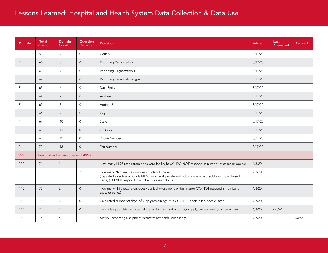| <b>Domain</b>  | <b>Total</b><br>Count | <b>Domain</b><br>Count              | Question<br><b>Variants</b> | Question                                                                                                                                                                                                        | <b>Added</b> | Last<br>Appeared | <b>Revised</b> |
|----------------|-----------------------|-------------------------------------|-----------------------------|-----------------------------------------------------------------------------------------------------------------------------------------------------------------------------------------------------------------|--------------|------------------|----------------|
| FI.            | 59                    | $\overline{2}$                      | $\overline{0}$              | County                                                                                                                                                                                                          | 3/17/20      |                  |                |
| F <sub>1</sub> | 60                    | 3                                   | $\overline{0}$              | Reporting Organization                                                                                                                                                                                          | 3/17/20      |                  |                |
| FI.            | 61                    | $\overline{4}$                      | $\mathbf{0}$                | Reporting Organization ID                                                                                                                                                                                       | 3/17/20      |                  |                |
| F1             | 62                    | 5                                   | $\overline{0}$              | Reporting Organization Type                                                                                                                                                                                     | 3/17/20      |                  |                |
| F1             | 63                    | 6                                   | $\mathbf 0$                 | Data Entity                                                                                                                                                                                                     | 3/17/20      |                  |                |
| F1             | 64                    | $7\overline{ }$                     | $\overline{0}$              | Address1                                                                                                                                                                                                        | 3/17/20      |                  |                |
| F1             | 65                    | 8                                   | $\mathbf 0$                 | Address2                                                                                                                                                                                                        | 3/17/20      |                  |                |
| F1             | 66                    | 9                                   | $\overline{0}$              | City                                                                                                                                                                                                            | 3/17/20      |                  |                |
| F1             | 67                    | 10                                  | $\mathbf{0}$                | State                                                                                                                                                                                                           | 3/17/20      |                  |                |
| FL.            | 68                    | 11                                  | $\overline{0}$              | Zip Code                                                                                                                                                                                                        | 3/17/20      |                  |                |
| F1             | 69                    | 12                                  | $\mathbf{0}$                | Phone Number                                                                                                                                                                                                    | 3/17/20      |                  |                |
| F1             | 70                    | 13                                  | $\overline{0}$              | Fax Number                                                                                                                                                                                                      | 3/17/20      |                  |                |
| <b>PPE</b>     |                       | Personal Protective Equipment (PPE) |                             |                                                                                                                                                                                                                 |              |                  |                |
| <b>PPE</b>     | 71                    | $\mathbf{1}$                        | $\overline{1}$              | How many N-95 respirators does your facility have? (DO NOT respond in number of cases or boxes)                                                                                                                 | 4/3/20       |                  |                |
| <b>PPE</b>     | 71                    | $\mathbf{1}$                        | 2                           | How many N-95 respirators does your facility have?<br>(Reported inventory amounts MUST include all private and public donations in addition to purchased<br>items) (DO NOT respond in number of cases or boxes) | 4/3/20       |                  |                |
| <b>PPE</b>     | 72                    | $\overline{2}$                      | $\overline{0}$              | How many N-95 respirators does your facility use per day (burn rate)? (DO NOT respond in number of<br>cases or boxes)                                                                                           | 4/3/20       |                  |                |
| PPE            | 73                    | $\mathsf 3$                         | $\mathbf 0$                 | Calculated number of days' of supply remaining: IMPORTANT: This field is autocalculated.                                                                                                                        | 4/3/20       |                  |                |
| <b>PPE</b>     | 74                    | $\overline{4}$                      | $\mathbf 0$                 | If you disagree with the value calculated for the number of days supply, please enter your value here.                                                                                                          | 4/3/20       | 4/4/20           |                |
| <b>PPE</b>     | 75                    | 5                                   | $\overline{1}$              | Are you expecting a shipment in time to replenish your supply?                                                                                                                                                  | 4/3/20       |                  | 4/6/20         |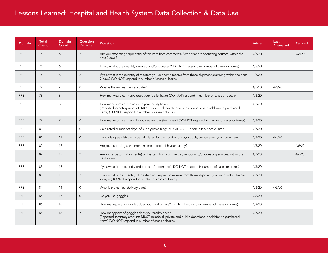| <b>Domain</b> | <b>Total</b><br>Count | <b>Domain</b><br>Count | Question<br><b>Variants</b> | Question                                                                                                                                                                                                        | <b>Added</b> | Last<br><b>Appeared</b> | <b>Revised</b> |
|---------------|-----------------------|------------------------|-----------------------------|-----------------------------------------------------------------------------------------------------------------------------------------------------------------------------------------------------------------|--------------|-------------------------|----------------|
| PPE           | 75                    | 5                      | 2                           | Are you expecting shipment(s) of this item from commercial/vendor and/or donating sources, within the<br>next 7 days?                                                                                           | 4/3/20       |                         | 4/6/20         |
| <b>PPE</b>    | 76                    | 6                      | $\mathbf{1}$                | If Yes, what is the quantity ordered and/or donated? (DO NOT respond in number of cases or boxes)                                                                                                               | 4/3/20       |                         |                |
| <b>PPE</b>    | 76                    | 6                      | 2                           | If yes, what is the quantity of this item you expect to receive from those shipment(s) arriving within the next<br>7 days? (DO NOT respond in number of cases or boxes)                                         | 4/3/20       |                         |                |
| <b>PPE</b>    | 77                    | $\overline{7}$         | $\mathbf{0}$                | What is the earliest delivery date?                                                                                                                                                                             | 4/3/20       | 4/5/20                  |                |
| <b>PPE</b>    | 78                    | 8                      | $\mathbf{1}$                | How many surgical masks does your facility have? (DO NOT respond in number of cases or boxes)                                                                                                                   | 4/3/20       |                         |                |
| PPE           | 78                    | 8                      | 2                           | How many surgical masks does your facility have?<br>(Reported inventory amounts MUST include all private and public donations in addition to purchased<br>items) (DO NOT respond in number of cases or boxes)   | 4/3/20       |                         |                |
| PPE           | 79                    | 9                      | $\Omega$                    | How many surgical mask do you use per day (burn rate)? (DO NOT respond in number of cases or boxes)                                                                                                             | 4/3/20       |                         |                |
| <b>PPE</b>    | 80                    | 10 <sup>1</sup>        | $\Omega$                    | Calculated number of days' of supply remaining: IMPORTANT: This field is autocalculated.                                                                                                                        | 4/3/20       |                         |                |
| <b>PPE</b>    | 81                    | 11                     | $\overline{0}$              | If you disagree with the value calculated for the number of days supply, please enter your value here.                                                                                                          | 4/3/20       | 4/4/20                  |                |
| <b>PPE</b>    | 82                    | 12                     | $\mathbf{1}$                | Are you expecting a shipment in time to replenish your supply?                                                                                                                                                  | 4/3/20       |                         | 4/6/20         |
| <b>PPE</b>    | 82                    | 12                     | 2                           | Are you expecting shipment(s) of this item from commercial/vendor and/or donating sources, within the<br>next 7 days?                                                                                           | 4/3/20       |                         | 4/6/20         |
| PPE           | 83                    | 13                     |                             | If yes, what is the quantity ordered and/or donated? (DO NOT respond in number of cases or boxes)                                                                                                               | 4/3/20       |                         |                |
| <b>PPE</b>    | 83                    | 13                     | 2                           | If yes, what is the quantity of this item you expect to receive from those shipment(s) arriving within the next<br>7 days? (DO NOT respond in number of cases or boxes)                                         | 4/3/20       |                         |                |
| PPE           | 84                    | 14                     | $\mathbf{0}$                | What is the earliest delivery date?                                                                                                                                                                             | 4/3/20       | 4/5/20                  |                |
| <b>PPE</b>    | 85                    | 15                     | $\Omega$                    | Do you use goggles?                                                                                                                                                                                             | 4/6/20       |                         |                |
| <b>PPE</b>    | 86                    | 16                     | -1                          | How many pairs of goggles does your facility have? (DO NOT respond in number of cases or boxes)                                                                                                                 | 4/3/20       |                         |                |
| <b>PPE</b>    | 86                    | 16                     | 2                           | How many pairs of goggles does your facility have?<br>(Reported inventory amounts MUST include all private and public donations in addition to purchased<br>items) (DO NOT respond in number of cases or boxes) | 4/3/20       |                         |                |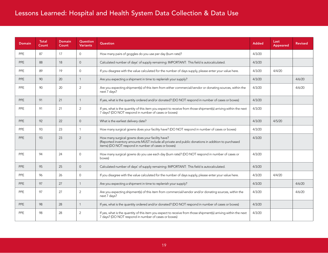| <b>Domain</b> | <b>Total</b><br>Count | <b>Domain</b><br>Count | Question<br><b>Variants</b> | Question                                                                                                                                                                                                      | <b>Added</b> | Last<br>Appeared | <b>Revised</b> |
|---------------|-----------------------|------------------------|-----------------------------|---------------------------------------------------------------------------------------------------------------------------------------------------------------------------------------------------------------|--------------|------------------|----------------|
| PPE           | 87                    | 17                     | $\Omega$                    | How many pairs of goggles do you use per day (burn rate)?                                                                                                                                                     | 4/3/20       |                  |                |
| <b>PPE</b>    | 88                    | 18                     | $\mathbf{0}$                | Calculated number of days' of supply remaining: IMPORTANT: This field is autocalculated.                                                                                                                      | 4/3/20       |                  |                |
| <b>PPE</b>    | 89                    | 19                     | $\Omega$                    | If you disagree with the value calculated for the number of days supply, please enter your value here.                                                                                                        | 4/3/20       | 4/4/20           |                |
| PPE           | 90                    | 20                     | $\overline{1}$              | Are you expecting a shipment in time to replenish your supply?                                                                                                                                                | 4/3/20       |                  | 4/6/20         |
| <b>PPE</b>    | 90                    | 20                     | 2                           | Are you expecting shipment(s) of this item from either commercial/vendor or donating sources, within the<br>next 7 days?                                                                                      | 4/3/20       |                  | 4/6/20         |
| <b>PPE</b>    | 91                    | 21                     | $\mathbf{1}$                | If yes, what is the quantity ordered and/or donated? (DO NOT respond in number of cases or boxes)                                                                                                             | 4/3/20       |                  |                |
| <b>PPE</b>    | 91                    | 21                     | 2                           | If yes, what is the quantity of this item you expect to receive from those shipment(s) arriving within the next<br>7 days? (DO NOT respond in number of cases or boxes)                                       | 4/3/20       |                  |                |
| PPE           | 92                    | 22                     | $\Omega$                    | What is the earliest delivery date?                                                                                                                                                                           | 4/3/20       | 4/5/20           |                |
| <b>PPE</b>    | 93                    | 23                     | -1                          | How many surgical gowns does your facility have? (DO NOT respond in number of cases or boxes)                                                                                                                 | 4/3/20       |                  |                |
| <b>PPE</b>    | 93                    | 23                     | 2                           | How many surgical gowns does your facility have?<br>(Reported inventory amounts MUST include all private and public donations in addition to purchased<br>items) (DO NOT respond in number of cases or boxes) | 4/3/20       |                  |                |
| <b>PPE</b>    | 94                    | 24                     | $\Omega$                    | How many surgical gowns do you use each day (burn rate)? (DO NOT respond in number of cases or<br>boxes)                                                                                                      | 4/3/20       |                  |                |
| <b>PPE</b>    | 95                    | 25                     | $\Omega$                    | Calculated number of days' of supply remaining: IMPORTANT: This field is autocalculated.                                                                                                                      | 4/3/20       |                  |                |
| PPE           | 96                    | 26                     | $\mathbf{0}$                | If you disagree with the value calculated for the number of days supply, please enter your value here.                                                                                                        | 4/3/20       | 4/4/20           |                |
| PPE           | 97                    | 27                     | $\mathbf{1}$                | Are you expecting a shipment in time to replenish your supply?                                                                                                                                                | 4/3/20       |                  | 4/6/20         |
| <b>PPE</b>    | 97                    | 27                     | 2                           | Are you expecting shipment(s) of this item from commercial/vendor and/or donating sources, within the<br>next 7 days?                                                                                         | 4/3/20       |                  | 4/6/20         |
| PPE           | 98                    | 28                     | $\overline{1}$              | If yes, what is the quantity ordered and/or donated? (DO NOT respond in number of cases or boxes)                                                                                                             | 4/3/20       |                  |                |
| <b>PPE</b>    | 98                    | 28                     | 2                           | If yes, what is the quantity of this item you expect to receive from those shipment(s) arriving within the next<br>7 days? (DO NOT respond in number of cases or boxes)                                       | 4/3/20       |                  |                |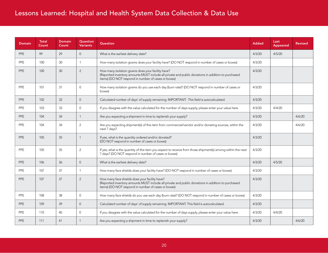| <b>Domain</b> | <b>Total</b><br>Count | Domain<br>Count | Question<br><b>Variants</b> | <b>Question</b>                                                                                                                                                                                                | <b>Added</b> | Last<br><b>Appeared</b> | <b>Revised</b> |
|---------------|-----------------------|-----------------|-----------------------------|----------------------------------------------------------------------------------------------------------------------------------------------------------------------------------------------------------------|--------------|-------------------------|----------------|
| PPE           | 99                    | 29              | $\overline{0}$              | What is the earliest delivery date?                                                                                                                                                                            | 4/3/20       | 4/5/20                  |                |
| <b>PPE</b>    | 100                   | 30              | $\mathbf{1}$                | How many isolation gowns does your facility have? (DO NOT respond in number of cases or boxes)                                                                                                                 | 4/3/20       |                         |                |
| <b>PPE</b>    | 100                   | 30 <sup>2</sup> | 2                           | How many isolation gowns does your facility have?<br>(Reported inventory amounts MUST include all private and public donations in addition to purchased<br>items) (DO NOT respond in number of cases or boxes) | 4/3/20       |                         |                |
| <b>PPE</b>    | 101                   | 31              | $\mathbf{0}$                | How many isolation gowns do you use each day (burn rate)? (DO NOT respond in number of cases or<br>boxes)                                                                                                      | 4/3/20       |                         |                |
| PPE           | 102                   | 32              | $\overline{0}$              | Calculated number of days' of supply remaining: IMPORTANT: This field is autocalculated.                                                                                                                       | 4/3/20       |                         |                |
| <b>PPE</b>    | 103                   | 33              | $\mathbf{0}$                | If you disagree with the value calculated for the number of days supply, please enter your value here.                                                                                                         | 4/3/20       | 4/4/20                  |                |
| PPE           | 104                   | 34              | $\mathbf{1}$                | Are you expecting a shipment in time to replenish your supply?                                                                                                                                                 | 4/3/20       |                         | 4/6/20         |
| <b>PPE</b>    | 104                   | 34              | 2                           | Are you expecting shipment(s) of this item from commercial/vendor and/or donating sources, within the<br>next 7 days?                                                                                          | 4/3/20       |                         | 4/6/20         |
| PPE           | 105                   | 35              | $\mathbf{1}$                | If yes, what is the quantity ordered and/or donated?<br>(DO NOT respond in number of cases or boxes)                                                                                                           | 4/3/20       |                         |                |
| PPE           | 105                   | 35              | 2                           | If yes, what is the quantity of this item you expect to receive from those shipment(s) arriving within the next<br>7 days? (DO NOT respond in number of cases or boxes)                                        | 4/3/20       |                         |                |
| <b>PPE</b>    | 106                   | 36              | $\Omega$                    | What is the earliest delivery date?                                                                                                                                                                            | 4/3/20       | 4/5/20                  |                |
| <b>PPE</b>    | 107                   | 37              | $\mathbf{1}$                | How many face shields does your facility have? (DO NOT respond in number of cases or boxes)                                                                                                                    | 4/3/20       |                         |                |
| PPE           | 107                   | 37              | 2                           | How many face shields does your facility have?<br>(Reported inventory amounts MUST include all private and public donations in addition to purchased<br>items) (DO NOT respond in number of cases or boxes)    | 4/3/20       |                         |                |
| PPE           | 108                   | 38              | $\Omega$                    | How many face shields do you use each day (burn rate)? (DO NOT respond in number of cases or boxes)                                                                                                            | 4/3/20       |                         |                |
| <b>PPE</b>    | 109                   | 39              | $\mathbf 0$                 | Calculated number of days' of supply remaining: IMPORTANT: This field is autocalculated.                                                                                                                       | 4/3/20       |                         |                |
| PPE           | 110                   | 40              | $\Omega$                    | If you disagree with the value calculated for the number of days supply, please enter your value here.                                                                                                         | 4/3/20       | 4/4/20                  |                |
| <b>PPE</b>    | 111                   | 41              | $\mathbf{1}$                | Are you expecting a shipment in time to replenish your supply?                                                                                                                                                 | 4/3/20       |                         | 4/6/20         |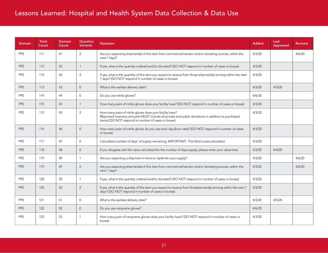| <b>Domain</b> | <b>Total</b><br>Count | Domain<br>Count | Question<br><b>Variants</b> | <b>Question</b>                                                                                                                                                                                                        | <b>Added</b> | Last<br>Appeared | <b>Revised</b> |
|---------------|-----------------------|-----------------|-----------------------------|------------------------------------------------------------------------------------------------------------------------------------------------------------------------------------------------------------------------|--------------|------------------|----------------|
| <b>PPE</b>    | 111                   | 41              | 2                           | Are you expecting shipment(s) of this item from commercial/vendor and/or donating sources, within the<br>next 7 days?                                                                                                  | 4/3/20       |                  | 4/6/20         |
| <b>PPE</b>    | 112                   | 42              | $\overline{1}$              | If yes, what is the quantity ordered and/or donated? (DO NOT respond in number of cases or boxes)                                                                                                                      | 4/3/20       |                  |                |
| <b>PPE</b>    | 112                   | 42              | 2                           | If yes, what is the quantity of this item you expect to receive from those shipment(s) arriving within the next<br>7 days? (DO NOT respond in number of cases or boxes)                                                | 4/3/20       |                  |                |
| PPE           | 113                   | 43              | $\overline{0}$              | What is the earliest delivery date?                                                                                                                                                                                    | 4/3/20       | 4/5/20           |                |
| <b>PPE</b>    | 114                   | 44              | $\mathbf{0}$                | Do you use nitrile gloves?                                                                                                                                                                                             | 4/6/20       |                  |                |
| PPE           | 115                   | 45              | $\mathbf{1}$                | How many pairs of nitrile gloves does your facility have? (DO NOT respond in number of cases or boxes)                                                                                                                 | 4/3/20       |                  |                |
| <b>PPE</b>    | 115                   | 45              | 2                           | How many pairs of nitrile gloves does your facility have?<br>(Reported inventory amounts MUST include all private and public donations in addition to purchased<br>items) (DO NOT respond in number of cases or boxes) | 4/3/20       |                  |                |
| PPE           | 116                   | 46              | $\overline{0}$              | How many pairs of nitrile gloves do you use each day (burn rate)? (DO NOT respond in number of cases<br>or boxes)                                                                                                      | 4/3/20       |                  |                |
| <b>PPE</b>    | 117                   | 47              | $\mathbf{0}$                | Calculated number of days' of supply remaining: IMPORTANT: This field is autocalculated.                                                                                                                               | 4/3/20       |                  |                |
| PPE           | 118                   | 48              | $\Omega$                    | If you disagree with the value calculated for the number of days supply, please enter your value here.                                                                                                                 | 4/3/20       | 4/4/20           |                |
| <b>PPE</b>    | 119                   | 49              | $\mathbf{1}$                | Are you expecting a shipment in time to replenish your supply?                                                                                                                                                         | 4/3/20       |                  | 4/6/20         |
| PPE           | 119                   | 49              | 2                           | Are you expecting shipment(s) of this item from commercial/vendor and/or donating sources, within the<br>next 7 days?                                                                                                  | 4/3/20       |                  | 4/6/20         |
| <b>PPE</b>    | 120                   | 50              | $\mathbf{1}$                | If yes, what is the quantity ordered and/or donated? (DO NOT respond in number of cases or boxes)                                                                                                                      | 4/3/20       |                  |                |
| PPE           | 120                   | 50              | 2                           | If yes, what is the quantity of this item you expect to receive from thosshipment(s) arriving within the next 7<br>days? (DO NOT respond in number of cases or boxes)                                                  | 4/3/20       |                  |                |
| <b>PPE</b>    | 121                   | 51              | $\mathbf{0}$                | What is the earliest delivery date?                                                                                                                                                                                    | 4/3/20       | 4/5/20           |                |
| <b>PPE</b>    | 122                   | 52              | $\overline{0}$              | Do you use neoprene gloves?                                                                                                                                                                                            | 4/6/20       |                  |                |
| <b>PPE</b>    | 123                   | 53              | -1                          | How many pairs of neoprene gloves does your facility have? (DO NOT respond in number of cases or<br>boxes)                                                                                                             | 4/3/20       |                  |                |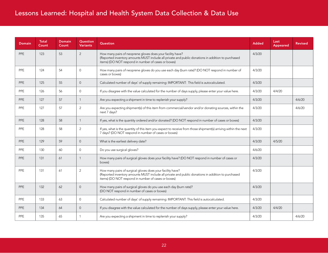| <b>Domain</b> | <b>Total</b><br>Count | <b>Domain</b><br>Count | Question<br><b>Variants</b> | Question                                                                                                                                                                                                                | <b>Added</b> | Last<br>Appeared | <b>Revised</b> |
|---------------|-----------------------|------------------------|-----------------------------|-------------------------------------------------------------------------------------------------------------------------------------------------------------------------------------------------------------------------|--------------|------------------|----------------|
| PPE           | 123                   | 53                     | 2                           | How many pairs of neoprene gloves does your facility have?<br>(Reported inventory amounts MUST include all private and public donations in addition to purchased<br>items) (DO NOT respond in number of cases or boxes) | 4/3/20       |                  |                |
| <b>PPE</b>    | 124                   | 54                     | $\Omega$                    | How many pairs of neoprene gloves do you use each day (burn rate)? (DO NOT respond in number of<br>cases or boxes)                                                                                                      | 4/3/20       |                  |                |
| <b>PPE</b>    | 125                   | 55                     | $\overline{0}$              | Calculated number of days' of supply remaining: IMPORTANT: This field is autocalculated.                                                                                                                                | 4/3/20       |                  |                |
| PPE           | 126                   | 56                     | $\Omega$                    | If you disagree with the value calculated for the number of days supply, please enter your value here.                                                                                                                  | 4/3/20       | 4/4/20           |                |
| <b>PPE</b>    | 127                   | 57                     |                             | Are you expecting a shipment in time to replenish your supply?                                                                                                                                                          | 4/3/20       |                  | 4/6/20         |
| PPE           | 127                   | 57                     | 2                           | Are you expecting shipment(s) of this item from commercial/vendor and/or donating sources, within the<br>next 7 days?                                                                                                   | 4/3/20       |                  | 4/6/20         |
| <b>PPE</b>    | 128                   | 58                     |                             | If yes, what is the quantity ordered and/or donated? (DO NOT respond in number of cases or boxes)                                                                                                                       | 4/3/20       |                  |                |
| <b>PPE</b>    | 128                   | 58                     | 2                           | If yes, what is the quantity of this item you expect to receive from those shipment(s) arriving within the next<br>7 days? (DO NOT respond in number of cases or boxes)                                                 | 4/3/20       |                  |                |
| <b>PPE</b>    | 129                   | 59                     | $\overline{0}$              | What is the earliest delivery date?                                                                                                                                                                                     | 4/3/20       | 4/5/20           |                |
| PPE           | 130                   | 60                     | $\Omega$                    | Do you use surgical gloves?                                                                                                                                                                                             | 4/6/20       |                  |                |
| PPE           | 131                   | 61                     | $\mathbf{1}$                | How many pairs of surgical gloves does your facility have? (DO NOT respond in number of cases or<br>boxes)                                                                                                              | 4/3/20       |                  |                |
| PPE           | 131                   | 61                     | 2                           | How many pairs of surgical gloves does your facility have?<br>(Reported inventory amounts MUST include all private and public donations in addition to purchased<br>items) (DO NOT respond in number of cases or boxes) | 4/3/20       |                  |                |
| <b>PPE</b>    | 132                   | 62                     | $\Omega$                    | How many pairs of surgical gloves do you use each day (burn rate)?<br>(DO NOT respond in number of cases or boxes)                                                                                                      | 4/3/20       |                  |                |
| <b>PPE</b>    | 133                   | 63                     | $\mathbf{0}$                | Calculated number of days' of supply remaining: IMPORTANT: This field is autocalculated.                                                                                                                                | 4/3/20       |                  |                |
| <b>PPE</b>    | 134                   | 64                     | $\Omega$                    | If you disagree with the value calculated for the number of days supply, please enter your value here.                                                                                                                  | 4/3/20       | 4/4/20           |                |
| <b>PPE</b>    | 135                   | 65                     | -1                          | Are you expecting a shipment in time to replenish your supply?                                                                                                                                                          | 4/3/20       |                  | 4/6/20         |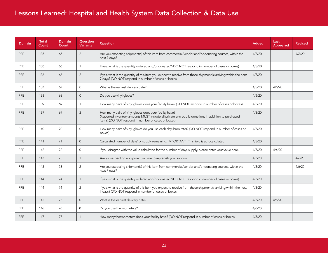| <b>Domain</b> | <b>Total</b><br>Count | Domain<br>Count | Question<br><b>Variants</b> | Question                                                                                                                                                                                                             | <b>Added</b> | Last<br>Appeared | <b>Revised</b> |
|---------------|-----------------------|-----------------|-----------------------------|----------------------------------------------------------------------------------------------------------------------------------------------------------------------------------------------------------------------|--------------|------------------|----------------|
| PPE           | 135                   | 65              | 2                           | Are you expecting shipment(s) of this item from commercial/vendor and/or donating sources, within the<br>next 7 days?                                                                                                | 4/3/20       |                  | 4/6/20         |
| <b>PPE</b>    | 136                   | 66              | $\mathbf{1}$                | If yes, what is the quantity ordered and/or donated? (DO NOT respond in number of cases or boxes)                                                                                                                    | 4/3/20       |                  |                |
| <b>PPE</b>    | 136                   | 66              | 2                           | If yes, what is the quantity of this item you expect to receive from those shipment(s) arriving within the next<br>7 days? (DO NOT respond in number of cases or boxes)                                              | 4/3/20       |                  |                |
| <b>PPE</b>    | 137                   | 67              | $\Omega$                    | What is the earliest delivery date?                                                                                                                                                                                  | 4/3/20       | 4/5/20           |                |
| <b>PPE</b>    | 138                   | 68              | $\overline{0}$              | Do you use vinyl gloves?                                                                                                                                                                                             | 4/6/20       |                  |                |
| PPE           | 139                   | 69              | $\overline{1}$              | How many pairs of vinyl gloves does your facility have? (DO NOT respond in number of cases or boxes)                                                                                                                 | 4/3/20       |                  |                |
| <b>PPE</b>    | 139                   | 69              | 2                           | How many pairs of vinyl gloves does your facility have?<br>(Reported inventory amounts MUST include all private and public donations in addition to purchased<br>items) (DO NOT respond in number of cases or boxes) | 4/3/20       |                  |                |
| <b>PPE</b>    | 140                   | 70              | $\Omega$                    | How many pairs of vinyl gloves do you use each day (burn rate)? (DO NOT respond in number of cases or<br>boxes)                                                                                                      | 4/3/20       |                  |                |
| <b>PPE</b>    | 141                   | 71              | $\Omega$                    | Calculated number of days' of supply remaining: IMPORTANT: This field is autocalculated.                                                                                                                             | 4/3/20       |                  |                |
| PPE           | 142                   | 72              | $\Omega$                    | If you disagree with the value calculated for the number of days supply, please enter your value here.                                                                                                               | 4/3/20       | 4/4/20           |                |
| <b>PPE</b>    | 143                   | 73              | $\overline{1}$              | Are you expecting a shipment in time to replenish your supply?                                                                                                                                                       | 4/3/20       |                  | 4/6/20         |
| <b>PPE</b>    | 143                   | 73              | 2                           | Are you expecting shipment(s) of this item from commercial/vendor and/or donating sources, within the<br>next 7 days?                                                                                                | 4/3/20       |                  | 4/6/20         |
| <b>PPE</b>    | 144                   | 74              | $\overline{1}$              | If yes, what is the quantity ordered and/or donated? (DO NOT respond in number of cases or boxes)                                                                                                                    | 4/3/20       |                  |                |
| <b>PPE</b>    | 144                   | 74              | 2                           | If yes, what is the quantity of this item you expect to receive from those shipment(s) arriving within the next<br>7 days? (DO NOT respond in number of cases or boxes)                                              | 4/3/20       |                  |                |
| PPE           | 145                   | 75              | $\overline{0}$              | What is the earliest delivery date?                                                                                                                                                                                  | 4/3/20       | 4/5/20           |                |
| <b>PPE</b>    | 146                   | 76              | $\Omega$                    | Do you use thermometers?                                                                                                                                                                                             | 4/6/20       |                  |                |
| PPE           | 147                   | 77              | $\mathbf{1}$                | How many thermometers does your facility have? (DO NOT respond in number of cases or boxes)                                                                                                                          | 4/3/20       |                  |                |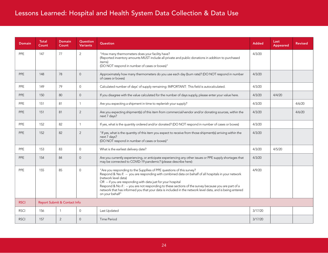| <b>Domain</b> | <b>Total</b><br>Count | <b>Domain</b><br>Count       | Question<br><b>Variants</b> | Question                                                                                                                                                                                                                                                                                                                                                                                                                                                                                                      | <b>Added</b> | Last<br>Appeared | <b>Revised</b> |
|---------------|-----------------------|------------------------------|-----------------------------|---------------------------------------------------------------------------------------------------------------------------------------------------------------------------------------------------------------------------------------------------------------------------------------------------------------------------------------------------------------------------------------------------------------------------------------------------------------------------------------------------------------|--------------|------------------|----------------|
| <b>PPE</b>    | 147                   | 77                           | $\overline{2}$              | "How many thermometers does your facility have?<br>(Reported inventory amounts MUST include all private and public donations in addition to purchased<br>items)<br>(DO NOT respond in number of cases or boxes)"                                                                                                                                                                                                                                                                                              | 4/3/20       |                  |                |
| <b>PPE</b>    | 148                   | 78                           | $\overline{0}$              | Approximately how many thermometers do you use each day (burn rate)? (DO NOT respond in number<br>of cases or boxes)                                                                                                                                                                                                                                                                                                                                                                                          | 4/3/20       |                  |                |
| PPE           | 149                   | 79                           | $\Omega$                    | Calculated number of days' of supply remaining: IMPORTANT: This field is autocalculated.                                                                                                                                                                                                                                                                                                                                                                                                                      | 4/3/20       |                  |                |
| <b>PPE</b>    | 150                   | 80                           | $\overline{0}$              | If you disagree with the value calculated for the number of days supply, please enter your value here.                                                                                                                                                                                                                                                                                                                                                                                                        | 4/3/20       | 4/4/20           |                |
| PPE           | 151                   | 81                           | $\mathbf{1}$                | Are you expecting a shipment in time to replenish your supply?                                                                                                                                                                                                                                                                                                                                                                                                                                                | 4/3/20       |                  | 4/6/20         |
| <b>PPE</b>    | 151                   | 81                           | $\overline{2}$              | Are you expecting shipment(s) of this item from commercial/vendor and/or donating sources, within the<br>next 7 days?                                                                                                                                                                                                                                                                                                                                                                                         | 4/3/20       |                  | 4/6/20         |
| <b>PPE</b>    | 152                   | 82                           | $\mathbf{1}$                | If yes, what is the quantity ordered and/or donated? (DO NOT respond in number of cases or boxes)                                                                                                                                                                                                                                                                                                                                                                                                             | 4/3/20       |                  |                |
| <b>PPE</b>    | 152                   | 82                           | $\overline{2}$              | "If yes, what is the quantity of this item you expect to receive from those shipment(s) arriving within the<br>next 7 days?<br>(DO NOT respond in number of cases or boxes)"                                                                                                                                                                                                                                                                                                                                  | 4/3/20       |                  |                |
| PPE           | 153                   | 83                           | $\mathbf{O}$                | What is the earliest delivery date?                                                                                                                                                                                                                                                                                                                                                                                                                                                                           | 4/3/20       | 4/5/20           |                |
| <b>PPE</b>    | 154                   | 84                           | $\overline{0}$              | Are you currently experiencing, or anticipate experiencing any other issues or PPE supply shortages that<br>may be connected to COVID-19 pandemic? (please describe here):                                                                                                                                                                                                                                                                                                                                    | 4/3/20       |                  |                |
| PPE           | 155                   | 85                           | $\Omega$                    | "Are you responding to the Suppllies of PPE questions of this survey?<br>Respond & Yes if: -- you are responding with combined data on behalf of all hospitals in your network<br>(network level data)<br>OR -- if you are responding with data just for your hospital<br>Respond & No if: -- you are not responding to these sections of the survey because you are part of a<br>network that has informed you that your data is included in the network level data, and is being entered<br>on your behalf" | 4/9/20       |                  |                |
| <b>RSCI</b>   |                       | Report Submit & Contact Info |                             |                                                                                                                                                                                                                                                                                                                                                                                                                                                                                                               |              |                  |                |
| <b>RSCI</b>   | 156                   | $\mathbf{1}$                 | $\overline{0}$              | Last Updated                                                                                                                                                                                                                                                                                                                                                                                                                                                                                                  | 3/17/20      |                  |                |
| <b>RSCI</b>   | 157                   | 2                            | $\Omega$                    | Time Period                                                                                                                                                                                                                                                                                                                                                                                                                                                                                                   | 3/17/20      |                  |                |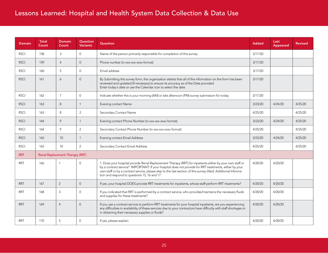| <b>Domain</b> | <b>Total</b><br>Count | Domain<br>Count                 | Question<br><b>Variants</b> | Question                                                                                                                                                                                                                                                                                                                                                                             | <b>Added</b> | Last<br>Appeared | <b>Revised</b> |
|---------------|-----------------------|---------------------------------|-----------------------------|--------------------------------------------------------------------------------------------------------------------------------------------------------------------------------------------------------------------------------------------------------------------------------------------------------------------------------------------------------------------------------------|--------------|------------------|----------------|
| <b>RSCI</b>   | 158                   | 3                               | $\mathbf{0}$                | Name of the person primarily responsible for completion of this survey                                                                                                                                                                                                                                                                                                               | 3/17/20      |                  |                |
| <b>RSCI</b>   | 159                   | $\overline{4}$                  | $\Omega$                    | Phone number (in xxx-xxx-xxxx format)                                                                                                                                                                                                                                                                                                                                                | 3/17/20      |                  |                |
| <b>RSCI</b>   | 160                   | 5                               | $\mathbf{0}$                | Email address                                                                                                                                                                                                                                                                                                                                                                        | 3/17/20      |                  |                |
| <b>RSCI</b>   | 161                   | 6                               | $\overline{0}$              | By Submitting this survey form, the organization attests that all of the information on the form has been<br>reviewed and updated (if necessary) to ensure its accuracy as of the Date provided.<br>Enter today's date or use the Calendar icon to select the date.                                                                                                                  | 3/17/20      |                  |                |
| <b>RSCI</b>   | 162                   | $\overline{7}$                  | $\mathbf{0}$                | Indicate whether this is your morning (AM) or late afternoon (PM) survey submission for today:                                                                                                                                                                                                                                                                                       | 3/17/20      |                  |                |
| <b>RSCI</b>   | 163                   | 8                               | $\mathbf{1}$                | Evening contact Name                                                                                                                                                                                                                                                                                                                                                                 | 3/23/20      | 4/24/20          | 4/25/20        |
| <b>RSCI</b>   | 163                   | 8                               | 2                           | Secondary Contact Name                                                                                                                                                                                                                                                                                                                                                               | 4/25/20      |                  | 4/25/20        |
| <b>RSCI</b>   | 164                   | 9                               | $\mathbf{1}$                | Evening contact Phone Number (in xxx-xxx-xxxx format)                                                                                                                                                                                                                                                                                                                                | 3/23/20      | 4/24/20          | 4/25/20        |
| <b>RSCI</b>   | 164                   | 9                               | 2                           | Secondary Contact Phone Number (in xxx-xxx-xxxx format)                                                                                                                                                                                                                                                                                                                              | 4/25/20      |                  | 4/25/20        |
| <b>RSCI</b>   | 165                   | 10 <sup>1</sup>                 | $\mathbf{1}$                | Evening contact Email Address                                                                                                                                                                                                                                                                                                                                                        | 3/23/20      | 4/24/20          | 4/25/20        |
| <b>RSCI</b>   | 165                   | 10 <sup>°</sup>                 | 2                           | Secondary Contact Email Address                                                                                                                                                                                                                                                                                                                                                      | 4/25/20      |                  | 4/25/20        |
| <b>RRT</b>    |                       | Renal Replacement Therapy (RRT) |                             |                                                                                                                                                                                                                                                                                                                                                                                      |              |                  |                |
| <b>RRT</b>    | 166                   | $\mathbf 1$                     | $\mathbf 0$                 | 1. Does your hospital provide Renal Replacement Therapy (RRT) for inpatients either by your own staff or<br>by a contract service? IMPORTANT: If your hospital does not provide for RRT treatments, either by your<br>own staff or by a contract service, please skip to the last section of this survey titled: Additional Informa-<br>tion and respond to questions 15, 16 and 17. | 4/20/20      | 4/20/20          |                |
| <b>RRT</b>    | 167                   | 2                               | $\overline{0}$              | If yes, your hospital DOES provide RRT treatments for inpatients, whose staff perform RRT treatments?                                                                                                                                                                                                                                                                                | 4/20/20      | 4/20/20          |                |
| <b>RRT</b>    | 168                   | $\mathbf{3}$                    | $\overline{0}$              | If you indicated that RRT is performed by a contract service, who provides/maintains the necessary fluids<br>and supplies for these treatments?                                                                                                                                                                                                                                      | 4/20/20      | 4/20/20          |                |
| <b>RRT</b>    | 169                   | $\overline{4}$                  | $\Omega$                    | If you use a contract service to perform RRT treatments for your hospital inpatients, are you experiencing<br>any difficulties in availability of these services due to your contractors have difficulty with staff shortages or<br>in obtaining their necessary supplies or fluids?                                                                                                 | 4/20/20      | 4/20/20          |                |
| <b>RRT</b>    | 170                   | 5                               | $\Omega$                    | If yes, please explain:                                                                                                                                                                                                                                                                                                                                                              | 4/20/20      | 4/20/20          |                |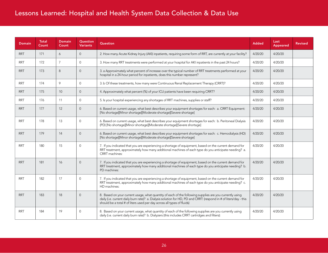| Domain     | <b>Total</b><br>Count | <b>Domain</b><br>Count | Question<br><b>Variants</b> | <b>Question</b>                                                                                                                                                                                                                                                                                         | <b>Added</b> | Last<br>Appeared | <b>Revised</b> |
|------------|-----------------------|------------------------|-----------------------------|---------------------------------------------------------------------------------------------------------------------------------------------------------------------------------------------------------------------------------------------------------------------------------------------------------|--------------|------------------|----------------|
| <b>RRT</b> | 171                   | 6                      | $\Omega$                    | 2. How many Acute Kidney Injury (AKI) inpatients, requiring some form of RRT, are currently at your facility?                                                                                                                                                                                           | 4/20/20      | 4/20/20          |                |
| RRT.       | 172                   | $\overline{7}$         | $\Omega$                    | 3. How many RRT treatments were performed at your hospital for AKI inpatients in the past 24 hours?                                                                                                                                                                                                     | 4/20/20      | 4/20/20          |                |
| RRT        | 173                   | 8                      | $\Omega$                    | 3. a Approximately what percent of increase over the typical number of RRT treatments performed at your<br>hospital in a 24-hour period for inpatients, does this number represent?                                                                                                                     | 4/20/20      | 4/20/20          |                |
| <b>RRT</b> | 174                   | 9                      | $\Omega$                    | 3. b Of these treatments, how many were Continuous Renal Replacement Therapy (CRRT)?                                                                                                                                                                                                                    | 4/20/20      | 4/20/20          |                |
| <b>RRT</b> | 175                   | 10                     | $\overline{0}$              | 4. Approximately what percent (%) of your ICU patients have been requiring CRRT?                                                                                                                                                                                                                        | 4/20/20      | 4/20/20          |                |
| <b>RRT</b> | 176                   | 11                     | $\Omega$                    | 5. Is your hospital experiencing any shortages of RRT machines, supplies or staff?                                                                                                                                                                                                                      | 4/20/20      | 4/20/20          |                |
| <b>RRT</b> | 177                   | 12                     | $\Omega$                    | 6. Based on current usage, what best describes your equipment shortages for each: a. CRRT Equipment:<br>[No shortage][Minor shortage][Moderate shortage][Severe shortage]                                                                                                                               | 4/20/20      | 4/20/20          |                |
| <b>RRT</b> | 178                   | 13                     | $\mathbf{0}$                | 6. Based on current usage, what best describes your equipment shortages for each: b. Peritoneal Dialysis<br>(PD) [No shortage][Minor shortage][Moderate shortage][Severe shortage]                                                                                                                      | 4/20/20      | 4/20/20          |                |
| <b>RRT</b> | 179                   | 14                     | $\Omega$                    | 6. Based on current usage, what best describes your equipment shortages for each: c. Hemodialysis (HD)<br>[No shortage][Minor shortage][Moderate shortage][Severe shortage]                                                                                                                             | 4/20/20      | 4/20/20          |                |
| <b>RRT</b> | 180                   | 15                     | $\Omega$                    | 7. If you indicated that you are experiencing a shortage of equipment, based on the current demand for<br>RRT treatment, approximately how many additional machines of each type do you anticipate needing? a.<br>CRRT machines:                                                                        | 4/20/20      | 4/20/20          |                |
| <b>RRT</b> | 181                   | 16                     | $\Omega$                    | 7. If you indicated that you are experiencing a shortage of equipment, based on the current demand for<br>RRT treatment, approximately how many additional machines of each type do you anticipate needing? b.<br>PD machines:                                                                          | 4/20/20      | 4/20/20          |                |
| <b>RRT</b> | 182                   | 17                     | $\overline{0}$              | 7. If you indicated that you are experiencing a shortage of equipment, based on the current demand for<br>RRT treatment, approximately how many additional machines of each type do you anticipate needing? c.<br>HD machines:                                                                          | 4/20/20      | 4/20/20          |                |
| <b>RRT</b> | 183                   | 18                     | $\Omega$                    | 8. Based on your current usage, what quantity of each of the following supplies are you currently using<br>daily (i.e. current daily burn rate)? a. Dialysis solution for HD, PD and CRRT: (respond in # of liters/day - this<br>should be a total # of liters used per day across all types of fluids) | 4/20/20      | 4/20/20          |                |
| <b>RRT</b> | 184                   | 19                     | $\Omega$                    | 8. Based on your current usage, what quantity of each of the following supplies are you currently using<br>daily (i.e. current daily burn rate)? b. Dialyzers (this includes CRRT cartridges and filters):                                                                                              | 4/20/20      | 4/20/20          |                |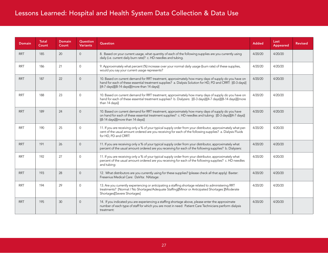| <b>Domain</b> | <b>Total</b><br>Count | <b>Domain</b><br>Count | Question<br><b>Variants</b> | <b>Question</b>                                                                                                                                                                                                                                                      | <b>Added</b> | Last<br><b>Appeared</b> | <b>Revised</b> |
|---------------|-----------------------|------------------------|-----------------------------|----------------------------------------------------------------------------------------------------------------------------------------------------------------------------------------------------------------------------------------------------------------------|--------------|-------------------------|----------------|
| <b>RRT</b>    | 185                   | 20                     | $\overline{0}$              | 8. Based on your current usage, what quantity of each of the following supplies are you currently using<br>daily (i.e. current daily burn rate)? c. HD needles and tubing.                                                                                           | 4/20/20      | 4/20/20                 |                |
| <b>RRT</b>    | 186                   | 21                     | $\Omega$                    | 9. Approximately what percent (%) increase over your normal daily usage (burn rate) of these supplies,<br>would you say your current usage represents?                                                                                                               | 4/20/20      | 4/20/20                 |                |
| <b>RRT</b>    | 187                   | 22                     | $\Omega$                    | 10. Based on current demand for RRT treatment, approximately how many days of supply do you have on<br>hand for each of these essential treatment supplies? a. Dialysis Solution for HD, PD and CRRT: [(0-3 days)]<br>[(4-7 days)][(8-14 days)][(more than 14 days)] | 4/20/20      | 4/20/20                 |                |
| <b>RRT</b>    | 188                   | 23                     | $\Omega$                    | 10. Based on current demand for RRT treatment, approximately how many days of supply do you have on<br>hand for each of these essential treatment supplies? b. Dialyzers: [(0-3 days)][(4-7 days)][(8-14 days)][(more<br>than 14 days)]                              | 4/20/20      | 4/20/20                 |                |
| <b>RRT</b>    | 189                   | 24                     | $\Omega$                    | 10. Based on current demand for RRT treatment, approximately how many days of supply do you have<br>on hand for each of these essential treatment supplies? c. HD needles and tubing: [(0-3 days)][(4-7 days)]<br>[(8-14 days)][(more than 14 days)]                 | 4/20/20      | 4/20/20                 |                |
| <b>RRT</b>    | 190                   | 25                     | $\Omega$                    | 11. If you are receiving only a % of your typical supply order from your distributor, approximately what per-<br>cent of the usual amount ordered are you receiving for each of the following supplies? a. Dialysis Fluids<br>for HD, PD and CRRT:                   | 4/20/20      | 4/20/20                 |                |
| <b>RRT</b>    | 191                   | 26                     | $\Omega$                    | 11. If you are receiving only a % of your typical supply order from your distributor, approximately what<br>percent of the usual amount ordered are you receiving for each of the following supplies? b. Dialyzers:                                                  | 4/20/20      | 4/20/20                 |                |
| <b>RRT</b>    | 192                   | 27                     | $\Omega$                    | 11. If you are receiving only a % of your typical supply order from your distributor, approximately what<br>percent of the usual amount ordered are you receiving for each of the following supplies? c. HD needles<br>and tubing:                                   | 4/20/20      | 4/20/20                 |                |
| <b>RRT</b>    | 193                   | 28                     | $\Omega$                    | 12. What distributors are you currently using for these supplies? (please check all that apply) Baxter:<br>Fresenius Medical Care: DaVita: NXstage:                                                                                                                  | 4/20/20      | 4/20/20                 |                |
| <b>RRT</b>    | 194                   | 29                     | $\Omega$                    | 13. Are you currently experiencing or anticipating a staffing shortage related to administering RRT<br>treatments? [Normal / No Shortages/Adequate Staffing][Minor or Anticipated Shortages ][Moderate<br>Shortages][Severe Shortages]                               | 4/20/20      | 4/20/20                 |                |
| <b>RRT</b>    | 195                   | 30                     | $\Omega$                    | 14. If you indicated you are experiencing a staffing shortage above, please enter the approximate<br>number of each type of staff for which you are most in need: Patient Care Technicians perform dialysis<br>treatment:                                            | 4/20/20      | 4/20/20                 |                |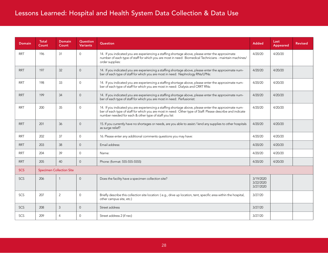| <b>Domain</b> | <b>Total</b><br>Count | <b>Domain</b><br>Count          | <b>Question</b><br><b>Variants</b> | Question                                                                                                                                                                                                                                                                       | <b>Added</b>                        | Last<br>Appeared | <b>Revised</b> |
|---------------|-----------------------|---------------------------------|------------------------------------|--------------------------------------------------------------------------------------------------------------------------------------------------------------------------------------------------------------------------------------------------------------------------------|-------------------------------------|------------------|----------------|
| <b>RRT</b>    | 196                   | 31                              | $\mathbf{0}$                       | 14. If you indicated you are experiencing a staffing shortage above, please enter the approximate<br>number of each type of staff for which you are most in need: Biomedical Technicians - maintain machines/<br>order supplies:                                               | 4/20/20                             | 4/20/20          |                |
| <b>RRT</b>    | 197                   | 32                              | $\overline{0}$                     | 14. If you indicated you are experiencing a staffing shortage above, please enter the approximate num-<br>ber of each type of staff for which you are most in need: Nephrology RNs/LPNs:                                                                                       | 4/20/20                             | 4/20/20          |                |
| <b>RRT</b>    | 198                   | 33                              | $\mathbf{0}$                       | 14. If you indicated you are experiencing a staffing shortage above, please enter the approximate num-<br>ber of each type of staff for which you are most in need: Dialysis and CRRT RNs:                                                                                     | 4/20/20                             | 4/20/20          |                |
| <b>RRT</b>    | 199                   | 34                              | $\overline{0}$                     | 14. If you indicated you are experiencing a staffing shortage above, please enter the approximate num-<br>ber of each type of staff for which you are most in need: Perfusionist:                                                                                              | 4/20/20                             | 4/20/20          |                |
| <b>RRT</b>    | 200                   | 35                              | $\mathbf{0}$                       | 14. If you indicated you are experiencing a staffing shortage above, please enter the approximate num-<br>ber of each type of staff for which you are most in need: Other type of Staff: Please describe and indicate<br>number needed for each & other type of staff you list | 4/20/20                             | 4/20/20          |                |
| <b>RRT</b>    | 201                   | 36                              | $\Omega$                           | 15. If you currently have no shortages or needs, are you able to assist / lend any supplies to other hospitals<br>as surge relief?                                                                                                                                             | 4/20/20                             | 4/20/20          |                |
| <b>RRT</b>    | 202                   | 37                              | $\Omega$                           | 16. Please enter any additional comments questions you may have:                                                                                                                                                                                                               | 4/20/20                             | 4/20/20          |                |
| <b>RRT</b>    | 203                   | 38                              | $\mathbf{0}$                       | Email address:                                                                                                                                                                                                                                                                 | 4/20/20                             | 4/20/20          |                |
| <b>RRT</b>    | 204                   | 39                              | $\Omega$                           | Name:                                                                                                                                                                                                                                                                          | 4/20/20                             | 4/20/20          |                |
| <b>RRT</b>    | 205                   | 40                              | $\Omega$                           | Phone: (format: 555-555-5555)                                                                                                                                                                                                                                                  | 4/20/20                             | 4/20/20          |                |
| <b>SCS</b>    |                       | <b>Specimen Collection Site</b> |                                    |                                                                                                                                                                                                                                                                                |                                     |                  |                |
| <b>SCS</b>    | 206                   | $\mathbf{1}$                    | $\Omega$                           | Does the facility have a specimen collection site?                                                                                                                                                                                                                             | 3/19/2020<br>3/22/2020<br>3/27/2020 |                  |                |
| SCS.          | 207                   | 2                               | $\Omega$                           | Briefly describe this collection site location: (e.g., drive up location, tent, specific area within the hospital,<br>other campus site, etc.)                                                                                                                                 | 3/27/20                             |                  |                |
| <b>SCS</b>    | 208                   | 3                               | $\Omega$                           | Street address                                                                                                                                                                                                                                                                 | 3/27/20                             |                  |                |
| <b>SCS</b>    | 209                   | $\overline{4}$                  | $\Omega$                           | Street address 2 (if nec)                                                                                                                                                                                                                                                      | 3/27/20                             |                  |                |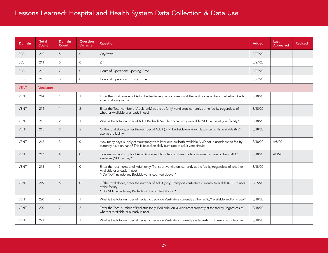| <b>Domain</b> | Total<br>Count     | Domain<br>Count | Question<br><b>Variants</b> | Question                                                                                                                                                                                            | <b>Added</b> | Last<br>Appeared | <b>Revised</b> |
|---------------|--------------------|-----------------|-----------------------------|-----------------------------------------------------------------------------------------------------------------------------------------------------------------------------------------------------|--------------|------------------|----------------|
| SCS           | 210                | 5               | $\overline{0}$              | City/town                                                                                                                                                                                           | 3/27/20      |                  |                |
| SCS           | 211                | 6               | $\Omega$                    | <b>ZIP</b>                                                                                                                                                                                          | 3/27/20      |                  |                |
| <b>SCS</b>    | 212                | $\overline{7}$  | $\overline{0}$              | Hours of Operation: Opening Time                                                                                                                                                                    | 3/27/20      |                  |                |
| SCS           | 213                | 8               | $\Omega$                    | Hours of Operation: Closing Time                                                                                                                                                                    | 3/27/20      |                  |                |
| <b>VENT</b>   | <b>Ventilators</b> |                 |                             |                                                                                                                                                                                                     |              |                  |                |
| <b>VENT</b>   | 214                | $\mathbf{1}$    | $\overline{1}$              | Enter the total number of Adult Bed-side Ventilators currently at the facility - regardless of whether Avail-<br>able or already in use                                                             | 3/18/20      |                  |                |
| <b>VENT</b>   | 214                | $\mathbf{1}$    | 2                           | Enter the Total number of Adult (only) bed-side (only) ventilators currently at the facility (regardless of<br>whether Available or already in use)                                                 | 3/18/20      |                  |                |
| <b>VENT</b>   | 215                | $\overline{c}$  | $\overline{1}$              | What is the total number of Adult Bed-side Ventilators currently available/NOT in use at your facility?<br>3/18/20                                                                                  |              |                  |                |
| <b>VENT</b>   | 215                | $\overline{2}$  | 2                           | Of the total above, enter the number of Adult (only) bed-side (only) ventilators currently available (NOT in<br>use) at the facility                                                                | 3/18/20      |                  |                |
| <b>VENT</b>   | 216                | 3               | $\mathbf{0}$                | How many days' supply of Adult (only) ventilator circuits (both available AND not in use) does the facility<br>currently have on hand? This is based on daily burn rate of adult vent circuits      | 3/18/20      | 4/8/20           |                |
| <b>VENT</b>   | 217                | $\overline{4}$  | $\overline{0}$              | How many days' supply of Adult (only) ventilator tubing does the facilitycurrently have on hand AND<br>available (NOT in use)?                                                                      | 3/18/20      | 4/8/20           |                |
| <b>VENT</b>   | 218                | 5               | $\overline{0}$              | Enter the total number of Adult (only) Transport ventilators currently at the facility (regardless of whether<br>Available or already in use)<br>**Do NOT include any Bedside vents counted above** | 3/18/20      |                  |                |
| <b>VENT</b>   | 219                | 6               | $\overline{0}$              | Of the total above, enter the number of Adult (only) Transport ventilators currently Available (NOT in use)<br>at the facility<br>**Do NOT include any Bedside vents counted above**                | 3/25/20      |                  |                |
| <b>VENT</b>   | 220                | $\overline{7}$  | $\mathbf{1}$                | What is the total number of Pediatric Bed-side Ventilators currently at the facility?(available and/or in use)?                                                                                     | 3/18/20      |                  |                |
| <b>VENT</b>   | 220                | $\overline{7}$  | 2                           | Enter the Total number of Pediatric (only) Bed-side (only) ventilators currently at the facility (regardless of<br>whether Available or already in use)                                             | 3/18/20      |                  |                |
| <b>VENT</b>   | 221                | 8               | $\overline{1}$              | What is the total number of Pediatric Bed-side Ventilators currently available/NOT in use at your facility?                                                                                         | 3/18/20      |                  |                |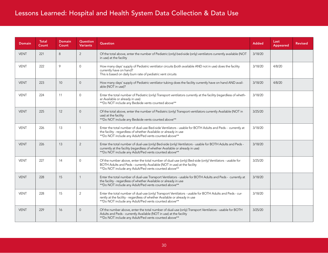| <b>Domain</b> | <b>Total</b><br>Count | <b>Domain</b><br>Count | <b>Question</b><br><b>Variants</b> | <b>Question</b>                                                                                                                                                                                                                                    | <b>Added</b> | Last<br>Appeared | <b>Revised</b> |
|---------------|-----------------------|------------------------|------------------------------------|----------------------------------------------------------------------------------------------------------------------------------------------------------------------------------------------------------------------------------------------------|--------------|------------------|----------------|
| <b>VENT</b>   | 221                   | 8                      | $\overline{2}$                     | Of the total above, enter the number of Pediatric (only) bed-side (only) ventilators currently available (NOT<br>in use) at the facility                                                                                                           | 3/18/20      |                  |                |
| <b>VENT</b>   | 222                   | 9                      | $\Omega$                           | How many days' supply of Pediatric ventilator circuits (both available AND not in use) does the facility<br>currently have on hand?<br>This is based on daily burn rate of pediatric vent circuits                                                 | 3/18/20      | 4/8/20           |                |
| <b>VENT</b>   | 223                   | 10                     | $\Omega$                           | How many days' supply of Pediatric ventilator tubing does the facility currently have on hand AND avail-<br>able (NOT in use)?                                                                                                                     | 3/18/20      | 4/8/20           |                |
| <b>VENT</b>   | 224                   | 11                     | $\Omega$                           | Enter the total number of Pediatric (only) Transport ventilators currently at the facility (regardless of wheth-<br>er Available or already in use)<br>**Do NOT include any Bedside vents counted above**                                          | 3/18/20      |                  |                |
| <b>VENT</b>   | 225                   | 12                     | $\overline{0}$                     | Of the total above, enter the number of Pediatric (only) Transport ventilators currently Available (NOT in<br>3/25/20<br>use) at the facility<br>**Do NOT include any Bedside vents counted above**                                                |              |                  |                |
| <b>VENT</b>   | 226                   | 13                     | $\mathbf{1}$                       | Enter the total number of dual-use Bed-side Ventilators - usable for BOTH Adults and Peds - currently at<br>the facility - regardless of whether Available or already in use<br>**Do NOT include any Adult/Ped vents counted above**               |              |                  |                |
| <b>VENT</b>   | 226                   | 13                     | $\overline{2}$                     | Enter the total number of dual-use (only) Bed-side (only) Ventilators - usable for BOTH Adults and Peds -<br>currently at the facility (regardless of whether Available or already in use)<br>**Do NOT include any Adult/Ped vents counted above** | 3/18/20      |                  |                |
| <b>VENT</b>   | 227                   | 14                     | $\Omega$                           | Of the number above, enter the total number of dual-use (only) Bed-side (only) Ventilators - usable for<br>BOTH Adults and Peds - currently Available (NOT in use) at the facility<br>**Do NOT include any Adult/Ped vents counted above**         | 3/25/20      |                  |                |
| <b>VENT</b>   | 228                   | 15                     | $\mathbf{1}$                       | Enter the total number of dual-use Transport Ventilators - usable for BOTH Adults and Peds - currently at<br>the facility - regardless of whether Available or already in use<br>**Do NOT include any Adult/Ped vents counted above**              | 3/18/20      |                  |                |
| <b>VENT</b>   | 228                   | 15                     | 2                                  | Enter the total number of dual-use (only) Transport Ventilators - usable for BOTH Adults and Peds - cur-<br>rently at the facility - regardless of whether Available or already in use<br>**Do NOT include any Adult/Ped vents counted above**     | 3/18/20      |                  |                |
| <b>VENT</b>   | 229                   | 16                     | $\overline{0}$                     | Of the number above, enter the total number of dual-use (only) Transport Ventilators - usable for BOTH<br>Adults and Peds - currently Available (NOT in use) at the facility<br>**Do NOT include any Adult/Ped vents counted above**               | 3/25/20      |                  |                |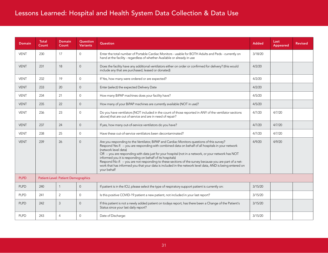| <b>Domain</b> | <b>Total</b><br>Count | <b>Domain</b><br>Count              | Question<br><b>Variants</b> | <b>Question</b>                                                                                                                                                                                                                                                                                                                                                                                                                                                                                                                                                                                                                      | <b>Added</b> | Last<br>Appeared | <b>Revised</b> |
|---------------|-----------------------|-------------------------------------|-----------------------------|--------------------------------------------------------------------------------------------------------------------------------------------------------------------------------------------------------------------------------------------------------------------------------------------------------------------------------------------------------------------------------------------------------------------------------------------------------------------------------------------------------------------------------------------------------------------------------------------------------------------------------------|--------------|------------------|----------------|
| <b>VENT</b>   | 230                   | 17                                  | $\Omega$                    | Enter the total number of Portable Cardiac Monitors - usable for BOTH Adults and Peds - currently on<br>hand at the facility - regardless of whether Available or already in use                                                                                                                                                                                                                                                                                                                                                                                                                                                     | 3/18/20      |                  |                |
| <b>VENT</b>   | 231                   | 18                                  | $\Omega$                    | Does the facility have any additional ventilators either on order or confirmed for delivery? (this would<br>include any that are purchased, leased or donated)                                                                                                                                                                                                                                                                                                                                                                                                                                                                       | 4/2/20       |                  |                |
| <b>VENT</b>   | 232                   | 19                                  | $\Omega$                    | If Yes, how many were ordered or are expected?                                                                                                                                                                                                                                                                                                                                                                                                                                                                                                                                                                                       | 4/2/20       |                  |                |
| <b>VENT</b>   | 233                   | 20                                  | $\Omega$                    | Enter (select) the expected Delivery Date                                                                                                                                                                                                                                                                                                                                                                                                                                                                                                                                                                                            | 4/2/20       |                  |                |
| <b>VENT</b>   | 234                   | 21                                  | $\mathbf 0$                 | How many BiPAP machines does your facility have?                                                                                                                                                                                                                                                                                                                                                                                                                                                                                                                                                                                     | 4/5/20       |                  |                |
| <b>VENT</b>   | 235                   | 22                                  | $\Omega$                    | How many of your BiPAP machines are currently available (NOT in use)?                                                                                                                                                                                                                                                                                                                                                                                                                                                                                                                                                                | 4/5/20       |                  |                |
| <b>VENT</b>   | 236                   | 23                                  | $\Omega$                    | Do you have ventilators [NOT included in the count of those reported in ANY of the ventilator sections<br>above] that are out of service and are in need of repair?                                                                                                                                                                                                                                                                                                                                                                                                                                                                  | 4/7/20       | 4/7/20           |                |
| <b>VENT</b>   | 237                   | 24                                  | $\Omega$                    | If yes, how many out-of-service ventilators do you have?                                                                                                                                                                                                                                                                                                                                                                                                                                                                                                                                                                             | 4/7/20       | 4/7/20           |                |
| VENT          | 238                   | 25                                  | $\Omega$                    | Have these out-of-service ventilators been decontaminated?                                                                                                                                                                                                                                                                                                                                                                                                                                                                                                                                                                           | 4/7/20       | 4/7/20           |                |
| <b>VENT</b>   | 239                   | 26                                  | $\Omega$                    | Are you responding to the Ventilator, BiPAP and Cardiac Monitors questions of this survey?<br>Respond Yes if: -- you are responding with combined data on behalf of all hospitals in your network<br>(network level data)<br>OR -- you are responding with data just for your hospital (not in a network, or your network has NOT<br>informed you it is responding on behalf of its hospitals)<br>Respond No if: -- you are not responding to these sections of the survey because you are part of a net-<br>work that has informed you that your data is included in the network level data, AND is being entered on<br>your behalf | 4/9/20       | 4/9/20           |                |
| <b>PLPD</b>   |                       | Patient-Level: Patient Demographics |                             |                                                                                                                                                                                                                                                                                                                                                                                                                                                                                                                                                                                                                                      |              |                  |                |
| <b>PLPD</b>   | 240                   | $\mathbf{1}$                        | $\Omega$                    | If patient is in the ICU, please select the type of respiratory support patient is currently on:                                                                                                                                                                                                                                                                                                                                                                                                                                                                                                                                     | 3/15/20      |                  |                |
| <b>PLPD</b>   | 241                   | 2                                   | $\Omega$                    | Is this positive COVID-19 patient a new patient, not included in your last report?                                                                                                                                                                                                                                                                                                                                                                                                                                                                                                                                                   | 3/15/20      |                  |                |
| <b>PLPD</b>   | 242                   | 3                                   | $\overline{0}$              | If this patient is not a newly added patient on todays report, has there been a Change of the Patient's<br>Status since your last daily report?                                                                                                                                                                                                                                                                                                                                                                                                                                                                                      | 3/15/20      |                  |                |
| <b>PLPD</b>   | 243                   | 4                                   | $\mathbf{0}$                | Date of Discharge:                                                                                                                                                                                                                                                                                                                                                                                                                                                                                                                                                                                                                   | 3/15/20      |                  |                |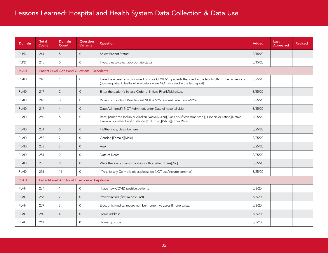| <b>Domain</b> | <b>Total</b><br>Count | <b>Domain</b><br>Count                                 | Question<br><b>Variants</b> | <b>Question</b>                                                                                                                                                                           | <b>Added</b> | Last<br>Appeared | <b>Revised</b> |
|---------------|-----------------------|--------------------------------------------------------|-----------------------------|-------------------------------------------------------------------------------------------------------------------------------------------------------------------------------------------|--------------|------------------|----------------|
| <b>PLPD</b>   | 244                   | 5                                                      | $\overline{0}$              | <b>Select Patient Status:</b>                                                                                                                                                             | 3/15/20      |                  |                |
| <b>PLPD</b>   | 245                   | 6                                                      | $\mathbf{0}$                | If yes, please select appropriate status:                                                                                                                                                 | 3/15/20      |                  |                |
| <b>PLAD</b>   |                       | <b>Patient-Level: Additional Questions - Decedents</b> |                             |                                                                                                                                                                                           |              |                  |                |
| <b>PLAD</b>   | 246                   | $\mathbf{1}$                                           | $\mathbf{0}$                | Have there been any confirmed positive COVID-19 patients that died in the facility SINCE the last report?<br>(positive patient deaths where details were NOT included in the last report) | 3/25/20      |                  |                |
| <b>PLAD</b>   | 247                   | $\overline{2}$                                         | $\overline{0}$              | Enter the patient's initials. Order of initials: First/Middle/Last                                                                                                                        | 3/25/20      |                  |                |
| <b>PLAD</b>   | 248                   | $\mathfrak{Z}$                                         | $\overline{0}$              | Patient's County of Residence(if NOT a NYS resident, select non-NYS)                                                                                                                      | 3/25/20      |                  |                |
| <b>PLAD</b>   | 249                   | $\overline{4}$                                         | $\overline{0}$              | Date Admitted(if NOT Admitted, enter Date of hospital visit)                                                                                                                              | 3/25/20      |                  |                |
| <b>PLAD</b>   | 250                   | 5                                                      | $\overline{0}$              | Race: [American Indian or Alaskan Native][Asian][Black or African American ][Hispanic or Latino][Native<br>Hawaiian or other Pacific Islander][Unknown][White][Other Race]                | 3/25/20      |                  |                |
| <b>PLAD</b>   | 251                   | 6                                                      | $\overline{0}$              | If Other race, describe here:                                                                                                                                                             | 3/25/20      |                  |                |
| <b>PLAD</b>   | 252                   | $\overline{7}$                                         | $\mathbf{0}$                | Gender: [Female][Male]                                                                                                                                                                    | 3/25/20      |                  |                |
| <b>PLAD</b>   | 253                   | 8                                                      | $\overline{0}$              | Age                                                                                                                                                                                       | 3/25/20      |                  |                |
| <b>PLAD</b>   | 254                   | 9                                                      | $\mathbf{0}$                | Date of Death                                                                                                                                                                             | 3/25/20      |                  |                |
| <b>PLAD</b>   | 255                   | 10 <sup>°</sup>                                        | $\Omega$                    | Were there any Co-morbidities for this patient? [Yes][No]                                                                                                                                 | 3/25/20      |                  |                |
| <b>PLAD</b>   | 256                   | 11                                                     | $\Omega$                    | If Yes, list any Co-morbidities(please do NOT use/include commas)                                                                                                                         | 3/25/20      |                  |                |
| <b>PLAH</b>   |                       | Patient-Level: Additional Questions - Hospitalized     |                             |                                                                                                                                                                                           |              |                  |                |
| PLAH          | 257                   | $\mathbf{1}$                                           | $\mathbf{0}$                | I have new COVID positive patients:                                                                                                                                                       | 5/3/20       |                  |                |
| <b>PLAH</b>   | 258                   | $\overline{2}$                                         | $\overline{0}$              | Patient initials (first, middle, last)                                                                                                                                                    | 5/3/20       |                  |                |
| PLAH          | 259                   | $\mathbf{3}$                                           | $\mathbf 0$                 | Electronic medical record number - enter five zeros if none exists.                                                                                                                       | 5/3/20       |                  |                |
| <b>PLAH</b>   | 260                   | $\overline{4}$                                         | $\overline{0}$              | Home address                                                                                                                                                                              | 5/3/20       |                  |                |
| <b>PLAH</b>   | 261                   | 5                                                      | $\mathbf{0}$                | Home zip code                                                                                                                                                                             | 5/3/20       |                  |                |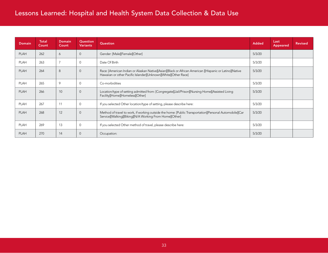| <b>Domain</b> | <b>Total</b><br>Count | Domain<br>Count | Question<br><b>Variants</b> | Question                                                                                                                                                                   | <b>Added</b> | Last<br>Appeared | <b>Revised</b> |
|---------------|-----------------------|-----------------|-----------------------------|----------------------------------------------------------------------------------------------------------------------------------------------------------------------------|--------------|------------------|----------------|
| <b>PLAH</b>   | 262                   | 6               | $\overline{0}$              | Gender: [Male][Female][Other]                                                                                                                                              | 5/3/20       |                  |                |
| <b>PLAH</b>   | 263                   | $\overline{7}$  | $\mathbf 0$                 | Date Of Birth                                                                                                                                                              | 5/3/20       |                  |                |
| <b>PLAH</b>   | 264                   | 8               | $\mathbf 0$                 | Race: [American Indian or Alaskan Native][Asian][Black or African American ][Hispanic or Latino][Native<br>Hawaiian or other Pacific Islander][Unknown][White][Other Race] | 5/3/20       |                  |                |
| <b>PLAH</b>   | 265                   | 9               | $\mathbf 0$                 | Co-morbidities                                                                                                                                                             | 5/3/20       |                  |                |
| <b>PLAH</b>   | 266                   | 10              | $\overline{0}$              | Location/type of setting admitted from: [Congregate][Jail/Prison][Nursing Home][Assisted Living<br>Facility][Home][Homeless][Other]                                        | 5/3/20       |                  |                |
| <b>PLAH</b>   | 267                   | 11              | $\mathbf 0$                 | If you selected Other location/type of setting, please describe here:                                                                                                      | 5/3/20       |                  |                |
| <b>PLAH</b>   | 268                   | 12              | $\overline{0}$              | Method of travel to work, if working outside the home: [Public Transportation][Personal Automobile][Car<br>Service][Walking][Biking][N/A Working From Home][Other]         | 5/3/20       |                  |                |
| <b>PLAH</b>   | 269                   | 13              | $\mathbf{0}$                | If you selected Other method of travel, please describe here:                                                                                                              | 5/3/20       |                  |                |
| <b>PLAH</b>   | 270                   | 14              | $\mathbf 0$                 | Occupation:                                                                                                                                                                | 5/3/20       |                  |                |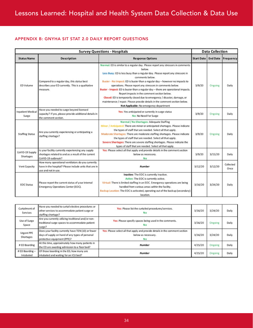#### <span id="page-33-0"></span>APPENDIX B: GNYHA SIT STAT 2.0 DAILY REPORT QUESTIONS

|                                   | <b>Data Collection</b>                                                                                                             |                                                                                                                                                                                                                                                                                                                                                                                                                                                                                                                                                                                                                                                                                      |                   |         |                    |
|-----------------------------------|------------------------------------------------------------------------------------------------------------------------------------|--------------------------------------------------------------------------------------------------------------------------------------------------------------------------------------------------------------------------------------------------------------------------------------------------------------------------------------------------------------------------------------------------------------------------------------------------------------------------------------------------------------------------------------------------------------------------------------------------------------------------------------------------------------------------------------|-------------------|---------|--------------------|
| <b>Status Name</b>                | <b>Description</b>                                                                                                                 | <b>Response Options</b>                                                                                                                                                                                                                                                                                                                                                                                                                                                                                                                                                                                                                                                              | <b>Start Date</b> |         | End Date Frequency |
| ED Volume                         | Compared to a regular day, this status best<br>describes your ED currently. This is a qualitative<br>measure.                      | Normal: ED is similar to a regular day. Please report any stressors in comments<br>below.<br>Less Busy: ED is less busy than a regular day. Please report any stressors in<br>comments below.<br>Busier - No Impact: ED is busier than a regular day - however no impacts to<br>operations. Please report any stressors in comments below.<br>Busier - Impact: ED is busier than a regular day - there are operational impacts.<br>Report impacts in the comment section below.<br>Closed: ED is temporarily closed due to emergency / disaster, damage, or<br>maintenance / repair. Please provide details in the comment section below.<br>Not Applicable: No emergency department | 3/9/20            | Ongoing | Daily              |
| <b>Inpatient Medical</b><br>Surge | Have you needed to surge beyond licensed<br>capacity? If yes, please provide additional details in<br>the comment section.         | Yes: Yes anticipated or currently in surge status<br>No: No Need For Surge                                                                                                                                                                                                                                                                                                                                                                                                                                                                                                                                                                                                           | 3/9/20            | Ongoing | Daily              |
| <b>Staffing Status</b>            | Are you currently experiencing or anticipating a<br>staffing shortage?                                                             | Normal / No Shortages: Adequate Staffing<br>Minor / Anticipated: There are minor or anticipated shortages. Please indicate<br>the types of staff that are needed. Select all that apply.<br>Moderate Shortages: There are moderate staffing shortages. Please indicate<br>the types of staff that are needed. Select all that apply.<br>Severe Shortages: There are severe staffing shortages. Please indicate the<br>types of staff that are needed. Select all that apply.                                                                                                                                                                                                         | 3/9/20            | Ongoing | Daily              |
| CoVID-19 Supply<br>Shortages      | Is your facility currently experiencing any supply<br>shortages related to and as a result of the current<br>CoVID-19 outbreak?    | Yes: Please select all that apply and provide details in the comment section<br>below as necessary.<br>No                                                                                                                                                                                                                                                                                                                                                                                                                                                                                                                                                                            | 3/9/20            | 3/15/20 | Daily              |
| Vent Capacity                     | How many operational ventilators do you currently<br>have in the hospital? Please include units that are in<br>use and not in use. | <b>Number</b>                                                                                                                                                                                                                                                                                                                                                                                                                                                                                                                                                                                                                                                                        | 3/12/20           | 3/12/20 | Collected<br>Once  |
| <b>EOC</b> Status                 | Please report the current status of your internal<br>Emergency Operations Center (EOC).                                            | Inactive: The EOC is currently inactive.<br>Active: The EOC is currently active.<br>Virtual: There is limited staffing in an EOC. Emergency operations are being<br>handled from various areas within the facility.<br>Backup Location: The EOC is activated, operating out of the backup (secondary)<br>location.                                                                                                                                                                                                                                                                                                                                                                   | 3/16/20           | 3/24/20 | Daily              |

| Curtailment of<br>Services     | Have you needed to curtail elective procedures or<br>other services to accommodate patient surge or<br>staffing shortage?             | Yes: Please list the curtailed procedures/services.<br>No                                                 | 3/16/20 | 3/24/20 | Daily |
|--------------------------------|---------------------------------------------------------------------------------------------------------------------------------------|-----------------------------------------------------------------------------------------------------------|---------|---------|-------|
| Use of Surge<br>Space          | Are you currently utilizing traditional and/or non-<br>traditional surge spaces to accommodate patient<br>surge?                      | Yes: Please specify spaces being used in the comments.<br>Nο                                              | 3/16/20 | Ongoing | Daily |
| <b>Urgent PPE</b><br>Shortages | Does your facility currently have TEN (10) or fewer<br>days of supply on hand of any types of personal<br>protective equipment (PPE)? | Yes: Please select all that apply and provide details in the comment section<br>below as necessary.<br>No | 3/16/20 | 3/24/20 | Daily |
| # ED Boarding                  | At this time, approximately how many patients in<br>the ED are awaiting admission to a floor bed?                                     | <b>Number</b>                                                                                             | 4/15/20 | Ongoing | Daily |
| # ED Boarding -<br>Intubated   | Of those boarding in the ED, how many are<br>intubated and waiting for an ICU bed?                                                    | <b>Number</b>                                                                                             | 4/15/20 | Ongoing | Daily |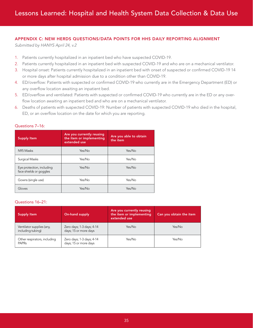#### <span id="page-34-0"></span>APPENDIX C: NEW HERDS QUESTIONS/DATA POINTS FOR HHS DAILY REPORTING ALIGNMENT

*Submitted by HANYS April 24, v.2*

- 1. Patients currently hospitalized in an inpatient bed who have suspected COVID-19.
- 2. Patients currently hospitalized in an inpatient bed with suspected COVID-19 and who are on a mechanical ventilator.
- 3. Hospital onset: Patients currently hospitalized in an inpatient bed with onset of suspected or confirmed COVID-19 14 or more days after hospital admission due to a condition other than COVID-19.
- 4. ED/overflow: Patients with suspected or confirmed COVID-19 who currently are in the Emergency Department (ED) or any overflow location awaiting an inpatient bed.
- 5. ED/overflow and ventilated: Patients with suspected or confirmed COVID-19 who currently are in the ED or any overflow location awaiting an inpatient bed and who are on a mechanical ventilator.
- 6. Deaths of patients with suspected COVID-19: Number of patients with suspected COVID-19 who died in the hospital, ED, or an overflow location on the date for which you are reporting.

| <b>Supply Item</b>                                   | Are you currently reusing<br>the item or implementing<br>extended use | Are you able to obtain<br>the item |
|------------------------------------------------------|-----------------------------------------------------------------------|------------------------------------|
| N95 Masks                                            | Yes/No                                                                | Yes/No                             |
| Surgical Masks                                       | Yes/No                                                                | Yes/No                             |
| Eye protection, including<br>face shields or goggles | Yes/No                                                                | Yes/No                             |
| Gowns (single use)                                   | Yes/No                                                                | Yes/No                             |
| Gloves                                               | Yes/No                                                                | Yes/No                             |

#### Questions 7–16:

#### Questions 16–21:

| <b>Supply Item</b>                             | On-hand supply                                     | Are you currently reusing<br>the item or implementing<br>extended use | Can you obtain the item |
|------------------------------------------------|----------------------------------------------------|-----------------------------------------------------------------------|-------------------------|
| Ventilator supplies (any,<br>including tubing) | Zero days; 1-3 days; 4-14<br>days; 15 or more days | Yes/No                                                                | Yes/No                  |
| Other respirators, including<br><b>PAPRs</b>   | Zero days; 1-3 days; 4-14<br>days; 15 or more days | Yes/No                                                                | Yes/No                  |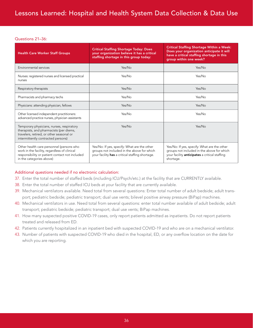#### Questions 21–36:

| <b>Health Care Worker Staff Groups</b>                                                                                                                                 | <b>Critical Staffing Shortage Today: Does</b><br>your organization believe it has a critical<br>staffing shortage in this group today:       | <b>Critical Staffing Shortage Within a Week:</b><br>Does your organization anticipate it will<br>have a critical staffing shortage in this<br>group within one week? |
|------------------------------------------------------------------------------------------------------------------------------------------------------------------------|----------------------------------------------------------------------------------------------------------------------------------------------|----------------------------------------------------------------------------------------------------------------------------------------------------------------------|
| Environmental services                                                                                                                                                 | Yes/No                                                                                                                                       | Yes/No                                                                                                                                                               |
| Nurses: registered nurses and licensed practical<br>nurses                                                                                                             | Yes/No                                                                                                                                       | Yes/No                                                                                                                                                               |
| Respiratory therapists                                                                                                                                                 | Yes/No                                                                                                                                       | Yes/No                                                                                                                                                               |
| Pharmacists and pharmacy techs                                                                                                                                         | Yes/No                                                                                                                                       | Yes/No                                                                                                                                                               |
| Physicians: attending physician, fellows                                                                                                                               | Yes/No                                                                                                                                       | Yes/No                                                                                                                                                               |
| Other licensed independent practitioners:<br>advanced practice nurses, physician assistants                                                                            | Yes/No                                                                                                                                       | Yes/No                                                                                                                                                               |
| Temporary physicians, nurses, respiratory<br>therapists, and pharmacists (per diems,<br>travelers, retired, or other seasonal or<br>intermittently contracted persons) | Yes/No                                                                                                                                       | Yes/No                                                                                                                                                               |
| Other health care personnel (persons who<br>work in the facility, regardless of clinical<br>responsibility or patient contact not included<br>in the categories above) | Yes/No: If yes, specify: What are the other<br>groups not included in the above for which<br>your facility has a critical staffing shortage. | Yes/No: If yes, specify: What are the other<br>groups not included in the above for which<br>your facility <b>anticipates</b> a critical staffing<br>shortage.       |

#### Additional questions needed if no electronic calculation:

- 37. Enter the total number of staffed beds (including ICU/Psych/etc.) at the facility that are CURRENTLY available.
- 38. Enter the total number of staffed ICU beds at your facility that are currently available.
- 39. Mechanical ventilators available. Need total from several questions: Enter total number of adult bedside; adult transport; pediatric bedside; pediatric transport; dual use vents; bilevel positive airway pressure (BiPap) machines.
- 40. Mechanical ventilators in use. Need total from several questions: enter total number available of adult bedside; adult transport; pediatric bedside; pediatric transport; dual use vents; BiPap machines.
- 41. How many suspected positive COVID-19 cases, only report patients admitted as inpatients. Do not report patients treated and released from ED.
- 42. Patients currently hospitalized in an inpatient bed with suspected COVID-19 and who are on a mechanical ventilator.
- 43. Number of patients with suspected COVID-19 who died in the hospital, ED, or any overflow location on the date for which you are reporting.